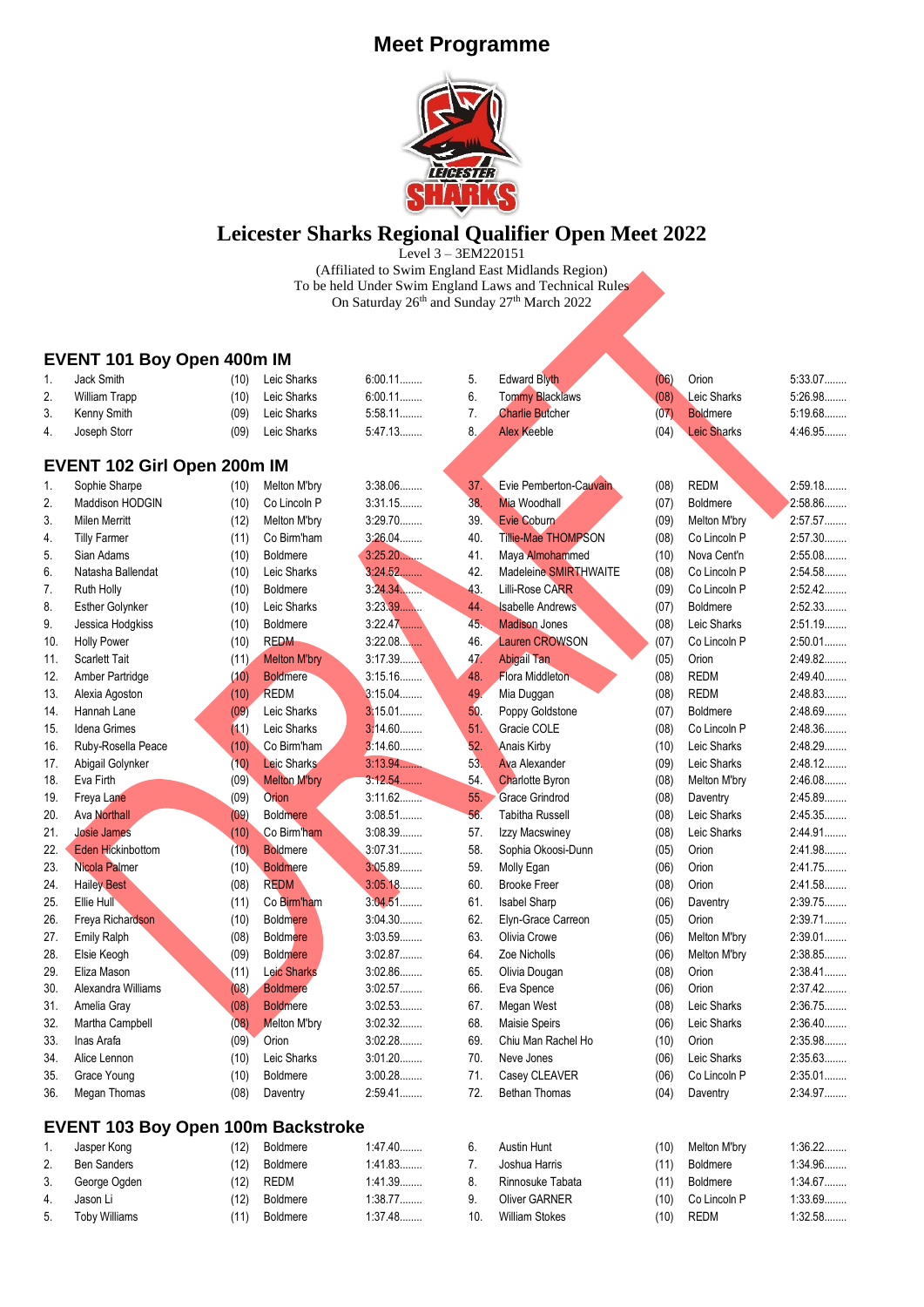

## **Leicester Sharks Regional Qualifier Open Meet 2022**

Level 3 – 3EM220151 (Affiliated to Swim England East Midlands Region) To be held Under Swim England Laws and Technical Rules On Saturday 26<sup>th</sup> and Sunday 27<sup>th</sup> March 2022

### **EVENT 101 Boy Open 400m IM**

| $\mathbf{1}$ . | Jack Smith                                | (10) | Leic Sharks         | $6:00.11$ | 5.  | <b>Edward Blyth</b>        | (06) | Orion              | 5:33.07   |
|----------------|-------------------------------------------|------|---------------------|-----------|-----|----------------------------|------|--------------------|-----------|
| 2.             | <b>William Trapp</b>                      | (10) | Leic Sharks         | 6:00.11   | 6.  | <b>Tommy Blacklaws</b>     | (08) | <b>Leic Sharks</b> | 5:26.98   |
| 3.             | Kenny Smith                               | (09) | Leic Sharks         | $5:58.11$ | 7.  | <b>Charlie Butcher</b>     | (07) | <b>Boldmere</b>    | 5:19.68   |
| 4.             | Joseph Storr                              | (09) | Leic Sharks         | 5:47.13   | 8.  | <b>Alex Keeble</b>         | (04) | Leic Sharks        | 4:46.95   |
|                |                                           |      |                     |           |     |                            |      |                    |           |
|                | EVENT 102 Girl Open 200m IM               |      |                     |           |     |                            |      |                    |           |
| 1.             | Sophie Sharpe                             | (10) | Melton M'bry        | 3:38.06   | 37. | Evie Pemberton-Cauvain     | (08) | <b>REDM</b>        | 2:59.18   |
| 2.             | <b>Maddison HODGIN</b>                    | (10) | Co Lincoln P        | 3:31.15   | 38. | <b>Mia Woodhall</b>        | (07) | <b>Boldmere</b>    | 2:58.86   |
| 3.             | <b>Milen Merritt</b>                      | (12) | Melton M'bry        | 3:29.70   | 39. | Evie Coburn                | (09) | Melton M'bry       | 2:57.57   |
| 4.             | <b>Tilly Farmer</b>                       | (11) | Co Birm'ham         | 3:26.04   | 40. | <b>Tillie-Mae THOMPSON</b> | (08) | Co Lincoln P       | 2:57.30   |
| 5.             | Sian Adams                                | (10) | <b>Boldmere</b>     | 3:25.20   | 41. | Maya Almohammed            | (10) | Nova Cent'n        | 2:55.08   |
| 6.             | Natasha Ballendat                         | (10) | Leic Sharks         | 3:24.52   | 42. | Madeleine SMIRTHWAITE      | (08) | Co Lincoln P       | 2:54.58   |
| 7.             | Ruth Holly                                | (10) | <b>Boldmere</b>     | 3.24.34   | 43. | Lilli-Rose CARR            | (09) | Co Lincoln P       | 2:52.42   |
| 8.             | Esther Golynker                           | (10) | Leic Sharks         | 3:23.39   | 44. | <b>Isabelle Andrews</b>    | (07) | <b>Boldmere</b>    | 2:52.33   |
| 9.             | Jessica Hodgkiss                          | (10) | <b>Boldmere</b>     | 3:22.47   | 45. | <b>Madison Jones</b>       | (08) | Leic Sharks        | 2:51.19   |
| 10.            | <b>Holly Power</b>                        | (10) | <b>REDM</b>         | 3:22.08   | 46. | <b>Lauren CROWSON</b>      | (07) | Co Lincoln P       | $2:50.01$ |
| 11.            | <b>Scarlett Tait</b>                      | (11) | <b>Melton M'bry</b> | 3:17.39   | 47. | <b>Abigail Tan</b>         | (05) | Orion              | 2:49.82   |
| 12.            | Amber Partridge                           | (10) | <b>Boldmere</b>     | 3:15.16   | 48. | <b>Flora Middleton</b>     | (08) | <b>REDM</b>        | 2:49.40   |
| 13.            | Alexia Agoston                            | (10) | REDM                | 3:15.04   | 49  | Mia Duggan                 | (08) | <b>REDM</b>        | 2:48.83   |
| 14.            | Hannah Lane                               | (09) | Leic Sharks         | $3:15.01$ | 50. | Poppy Goldstone            | (07) | <b>Boldmere</b>    | 2:48.69   |
| 15.            | Idena Grimes                              | (11) | Leic Sharks         | 3:14.60   | 51. | Gracie COLE                | (08) | Co Lincoln P       | 2:48.36   |
| 16.            | Ruby-Rosella Peace                        | (10) | Co Birm'ham         | 3:14.60   | 52. | <b>Anais Kirby</b>         | (10) | Leic Sharks        | 2:48.29   |
| 17.            | Abigail Golynker                          | (10) | Leic Sharks         | 3.13.94   | 53. | <b>Ava Alexander</b>       | (09) | Leic Sharks        | 2:48.12   |
| 18.            | Eva Firth                                 | (09) | <b>Melton M'bry</b> | 3:12.54   | 54. | <b>Charlotte Byron</b>     | (08) | Melton M'bry       | 2:46.08   |
| 19.            | Freya Lane                                | (09) | Orion               | 3:11.62   | 55. | <b>Grace Grindrod</b>      | (08) | Daventry           | 2:45.89   |
| 20.            | <b>Ava Northall</b>                       | (09) | <b>Boldmere</b>     | 3:08.51   | 56. | <b>Tabitha Russell</b>     | (08) | Leic Sharks        | 2:45.35   |
| 21.            | <b>Josie James</b>                        | (10) | Co Birm'ham         | 3.08.39   | 57. | Izzy Macswiney             | (08) | Leic Sharks        | 2:44.91   |
| 22.            | <b>Eden Hickinbottom</b>                  | (10) | <b>Boldmere</b>     | 3:07.31   | 58. | Sophia Okoosi-Dunn         | (05) | Orion              | 2:41.98   |
| 23.            | Nicola Palmer                             | (10) | <b>Boldmere</b>     | 3:05.89   | 59. | Molly Egan                 | (06) | Orion              | 2:41.75   |
| 24.            | <b>Hailey Best</b>                        | (08) | <b>REDM</b>         | 3:05.18   | 60. | <b>Brooke Freer</b>        | (08) | Orion              | 2:41.58   |
| 25.            | Ellie Hull                                | (11) | Co Birm'ham         | $3:04.51$ | 61. | <b>Isabel Sharp</b>        | (06) | Daventry           | 2:39.75   |
| 26.            | Freya Richardson                          | (10) | <b>Boldmere</b>     | 3:04.30   | 62. | Elyn-Grace Carreon         | (05) | Orion              | $2:39.71$ |
| 27.            | <b>Emily Ralph</b>                        | (08) | <b>Boldmere</b>     | 3:03.59   | 63. | Olivia Crowe               | (06) | Melton M'bry       | 2:39.01   |
| 28.            | Elsie Keogh                               | (09) | <b>Boldmere</b>     | 3:02.87   | 64. | Zoe Nicholls               | (06) | Melton M'bry       | 2:38.85   |
| 29.            | Eliza Mason                               | (11) | <b>Leic Sharks</b>  | 3:02.86   | 65. | Olivia Dougan              | (08) | Orion              | 2:38.41   |
| 30.            | Alexandra Williams                        | (08) | <b>Boldmere</b>     | 3:02.57   | 66. | Eva Spence                 | (06) | Orion              | 2:37.42   |
| 31.            | Amelia Gray                               | (08) | <b>Boldmere</b>     | 3:02.53   | 67. | Megan West                 | (08) | Leic Sharks        | 2:36.75   |
| 32.            | Martha Campbell                           | (08) | Melton M'bry        | 3:02.32   | 68. | Maisie Speirs              | (06) | Leic Sharks        | $2:36.40$ |
| 33.            | Inas Arafa                                | (09) | Orion               | 3:02.28   | 69. | Chiu Man Rachel Ho         | (10) | Orion              | 2:35.98   |
| 34.            | Alice Lennon                              | (10) | Leic Sharks         | $3:01.20$ | 70. | Neve Jones                 | (06) | Leic Sharks        | 2:35.63   |
| 35.            | Grace Young                               | (10) | <b>Boldmere</b>     | 3:00.28   | 71. | Casey CLEAVER              | (06) | Co Lincoln P       | $2:35.01$ |
| 36.            | Megan Thomas                              | (08) | Daventry            | 2:59.41   | 72. | Bethan Thomas              | (04) | Daventry           | 2:34.97   |
|                |                                           |      |                     |           |     |                            |      |                    |           |
|                | <b>EVENT 103 Boy Open 100m Backstroke</b> |      |                     |           |     |                            |      |                    |           |
| 1.             | Jasper Kong                               | (12) | <b>Boldmere</b>     | 1.47.40   | 6.  | Austin Hunt                | (10) | Melton M'bry       | 1:36.22   |

7. Joshua Harris (11) Boldmere 1:34.96........ 8. Rinnosuke Tabata (11) Boldmere 1:34.67........ 9. Oliver GARNER (10) Co Lincoln P 1:33.69........ 10. William Stokes (10) REDM 1:32.58........

| <b>UUJUU INUIN</b> |                                     |                                                                                  |
|--------------------|-------------------------------------|----------------------------------------------------------------------------------|
| <b>Ben Sanders</b> |                                     | 1:41.83                                                                          |
|                    |                                     | 1.41.39                                                                          |
| Jason Li           |                                     | 1:38.77                                                                          |
|                    |                                     | 1:37.48                                                                          |
|                    | 3. George Ogden<br>5. Toby Williams | $121$ DURING N<br>(12) Boldmere<br>$(12)$ REDM<br>(12) Boldmere<br>(11) Boldmere |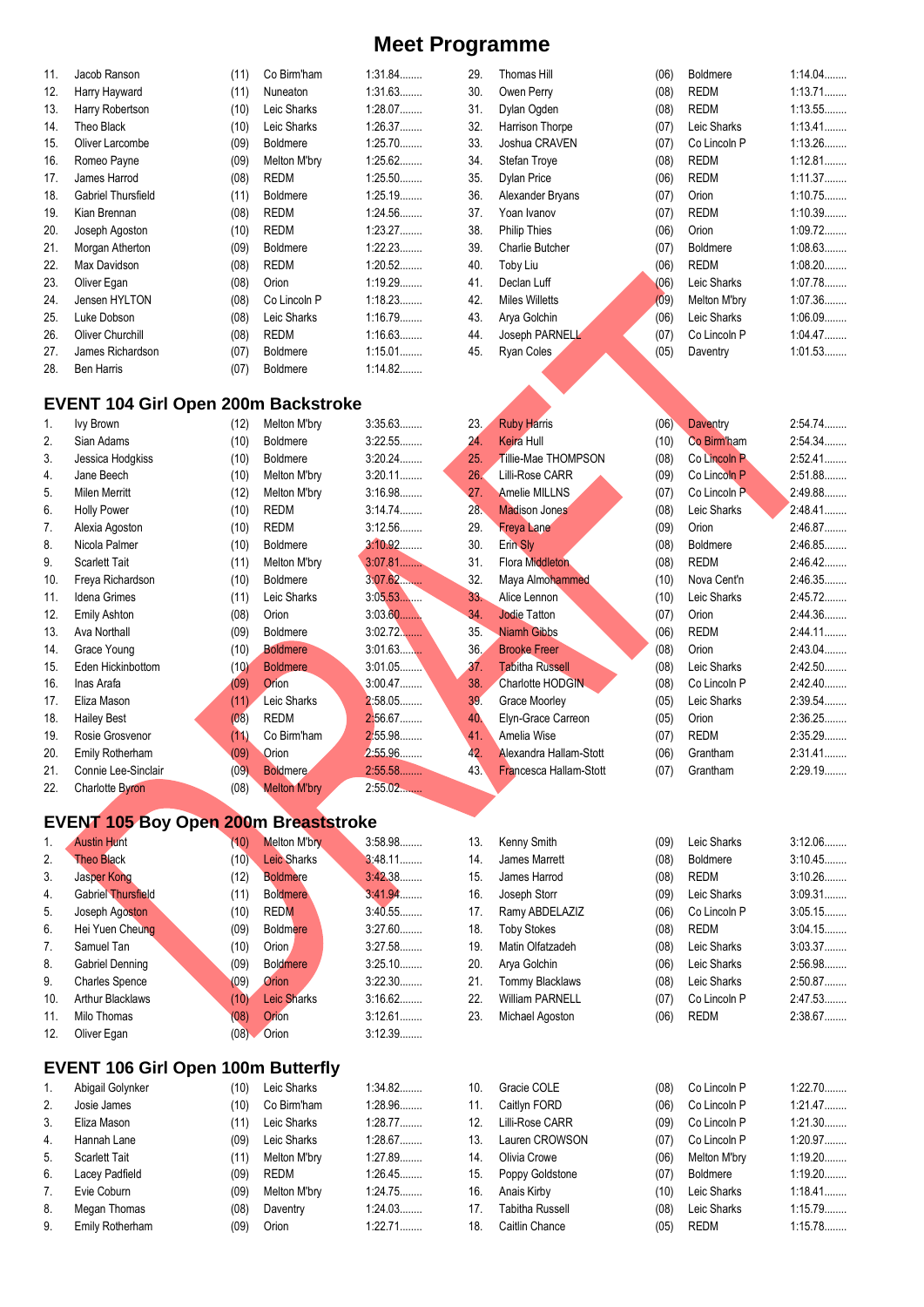| 11. | Jacob Ranson                               | (11) | Co Birm'ham     | 1:31.84   |
|-----|--------------------------------------------|------|-----------------|-----------|
| 12. | Harry Hayward                              | (11) | Nuneaton        | 1:31.63   |
| 13. | Harry Robertson                            | (10) | Leic Sharks     | 1:28.07   |
| 14. | Theo Black                                 | (10) | Leic Sharks     | 1:26.37   |
| 15. | Oliver Larcombe                            | (09) | <b>Boldmere</b> | 1:25.70   |
| 16. | Romeo Payne                                | (09) | Melton M'bry    | 1:25.62   |
| 17. | James Harrod                               | (08) | REDM            | 1:25.50   |
| 18. | Gabriel Thursfield                         | (11) | <b>Boldmere</b> | 1:25.19   |
| 19. | Kian Brennan                               | (08) | REDM            | 1:24.56   |
| 20. | Joseph Agoston                             | (10) | REDM            | 1:23.27   |
| 21. | Morgan Atherton                            | (09) | <b>Boldmere</b> | 1:22.23   |
| 22. | Max Davidson                               | (08) | REDM            | $1:20.52$ |
| 23. | Oliver Egan                                | (08) | Orion           | 1:19.29   |
| 24. | Jensen HYLTON                              | (08) | Co Lincoln P    | 1:18.23   |
| 25. | Luke Dobson                                | (08) | Leic Sharks     | 1:16.79   |
| 26. | <b>Oliver Churchill</b>                    | (08) | REDM            | 1:16.63   |
| 27. | James Richardson                           | (07) | <b>Boldmere</b> | 1:15.01   |
| 28. | Ben Harris                                 | (07) | Boldmere        | 1:14.82   |
|     |                                            |      |                 |           |
|     | <b>EVENT 104 Girl Open 200m Backstroke</b> |      |                 |           |
| 1.  | <b>Ivy Brown</b>                           | (12) | Melton M'bry    | 3:35.63   |

| 29. | Thomas Hill            | (06) | <b>Boldmere</b> | 1:14.04. |
|-----|------------------------|------|-----------------|----------|
| 30. | Owen Perry             | (08) | REDM            | 1:13.71  |
| 31. | Dylan Ogden            | (08) | <b>REDM</b>     | 1:13.55  |
| 32. | Harrison Thorpe        | (07) | Leic Sharks     | 1:13.41  |
| 33. | Joshua CRAVEN          | (07) | Co Lincoln P    | 1:13.26. |
| 34. | Stefan Troye           | (08) | REDM            | 1:12.81  |
| 35. | Dylan Price            | (06) | REDM            | 1:11.37  |
| 36. | Alexander Bryans       | (07) | Orion           | 1:10.75  |
| 37. | Yoan Ivanov            | (07) | REDM            | 1:10.39  |
| 38. | <b>Philip Thies</b>    | (06) | Orion           | 1:09.72. |
| 39. | <b>Charlie Butcher</b> | (07) | <b>Boldmere</b> | 1:08.63  |
| 40. | Toby Liu               | (06) | REDM            | 1:08.20  |
| 41. | Declan Luff            | (06) | Leic Sharks     | 1:07.78  |
| 42. | <b>Miles Willetts</b>  | (09) | Melton M'bry    | 1:07.36  |
| 43. | Arya Golchin           | (06) | Leic Sharks     | 1:06.09  |
| 44. | Joseph PARNELL         | (07) | Co Lincoln P    | 1:04.47  |
| 45. | Ryan Coles             | (05) | Daventry        | 1:01.53  |

| 1.  | Ivy Brown              | (12) | Melton M'brv        | 3:35.63   | 23.             | <b>Ruby Harris</b>     | (06) | <b>Daventry</b> | 2:54.74 |
|-----|------------------------|------|---------------------|-----------|-----------------|------------------------|------|-----------------|---------|
| 2.  | Sian Adams             | (10) | <b>Boldmere</b>     | 3:22.55   | 24.             | <b>Keira Hull</b>      | (10) | Co Birm'ham     | 2:54.34 |
| 3.  | Jessica Hodgkiss       | (10) | Boldmere            | 3:20.24   | 25.             | Tillie-Mae THOMPSON    | (08) | Co Lincoln P    | 2:52.41 |
| 4.  | Jane Beech             | (10) | Melton M'bry        | $3:20.11$ | 26.             | Lilli-Rose CARR        | (09) | Co Lincoln P    | 2:51.88 |
| 5.  | Milen Merritt          | (12) | Melton M'bry        | 3:16.98   | 27.             | <b>Amelie MILLNS</b>   | (07) | Co Lincoln P    | 2:49.88 |
| 6.  | <b>Holly Power</b>     | (10) | REDM                | 3:14.74   | 28.             | <b>Madison Jones</b>   | (08) | Leic Sharks     | 2:48.41 |
| 7.  | Alexia Agoston         | (10) | <b>REDM</b>         | 3:12.56   | 29.             | <b>Freya Lane</b>      | (09) | Orion           | 2:46.87 |
| 8.  | Nicola Palmer          | (10) | Boldmere            | 3:10.92   | 30.             | Erin Sly               | (08) | <b>Boldmere</b> | 2:46.85 |
| 9.  | <b>Scarlett Tait</b>   | (11) | Melton M'bry        | 3.07.81   | 31.             | <b>Flora Middleton</b> | (08) | <b>REDM</b>     | 2:46.42 |
| 10. | Freya Richardson       | (10) | <b>Boldmere</b>     | $3:07.62$ | 32.             | Maya Almohammed        | (10) | Nova Cent'n     | 2:46.35 |
| 11. | <b>Idena Grimes</b>    | (11) | Leic Sharks         | 3:05.53   | 33.             | Alice Lennon           | (10) | Leic Sharks     | 2:45.72 |
| 12. | Emily Ashton           | (08) | Orion               | 3.03.60   | 34.             | <b>Jodie Tatton</b>    | (07) | Orion           | 2:44.36 |
| 13. | Ava Northall           | (09) | <b>Boldmere</b>     | $3:02.72$ | 35.             | <b>Niamh Gibbs</b>     | (06) | REDM            | 2:44.11 |
| 14. | Grace Young            | (10) | <b>Boldmere</b>     | $3:01.63$ | 36.             | <b>Brooke Freer</b>    | (08) | Orion           | 2:43.04 |
| 15. | Eden Hickinbottom      | (10) | <b>Boldmere</b>     | 3:01.05   | 37 <sub>2</sub> | <b>Tabitha Russell</b> | (08) | Leic Sharks     | 2:42.50 |
| 16. | Inas Arafa             | (09) | Orion               | 3:00.47   | 38.             | Charlotte HODGIN       | (08) | Co Lincoln P    | 2:42.40 |
| 17. | Eliza Mason            | (11) | Leic Sharks         | 2:58.05   | 39.             | Grace Moorley          | (05) | Leic Sharks     | 2:39.54 |
| 18. | <b>Hailey Best</b>     | (08) | REDM                | 2:56.67   | 40.             | Elyn-Grace Carreon     | (05) | Orion           | 2:36.25 |
| 19. | Rosie Grosvenor        | (11) | Co Birm'ham         | 2:55.98   | 41.             | Amelia Wise            | (07) | <b>REDM</b>     | 2:35.29 |
| 20. | Emily Rotherham        | (09) | Orion               | 2:55.96   | 42.             | Alexandra Hallam-Stott | (06) | Grantham        | 2:31.41 |
| 21. | Connie Lee-Sinclair    | (09) | <b>Boldmere</b>     | 2:55.58   | 43.             | Francesca Hallam-Stott | (07) | Grantham        | 2:29.19 |
| 22. | <b>Charlotte Byron</b> | (08) | <b>Melton M'bry</b> | 2:55.02   |                 |                        |      |                 |         |

# **EVENT 105 Boy Open 200m Breaststroke**

| 1.  | <b>Austin Hunt</b>        | (10) | <b>Melton M'bry</b> | 3:58.98   | 13. |   |
|-----|---------------------------|------|---------------------|-----------|-----|---|
| 2.  | <b>Theo Black</b>         | (10) | <b>Leic Sharks</b>  | $3:48.11$ | 14. |   |
| 3.  | Jasper Kong               | (12) | <b>Boldmere</b>     | 3:42.38   | 15. |   |
| 4.  | <b>Gabriel Thursfield</b> | (11) | <b>Boldmere</b>     | 3.41.94   | 16. |   |
| 5.  | Joseph Agoston            | (10) | <b>REDM</b>         | 3:40.55   | 17. |   |
| 6.  | Hei Yuen Cheung           | (09) | <b>Boldmere</b>     | $3:27.60$ | 18. |   |
| 7.  | Samuel Tan                | (10) | Orion               | 3:27.58   | 19. |   |
| 8.  | Gabriel Denning           | (09) | <b>Boldmere</b>     | $3:25.10$ | 20. | ı |
| 9.  | <b>Charles Spence</b>     | (09) | Orion               | $3:22.30$ | 21. |   |
| 10. | <b>Arthur Blacklaws</b>   | (10) | <b>Leic Sharks</b>  | 3:16.62   | 22. |   |
| 11. | Milo Thomas               | (08) | <b>Orion</b>        | $3:12.61$ | 23. |   |
| 12. | Oliver Egan               | (08) | Orion               | 3:12.39   |     |   |
|     |                           |      |                     |           |     |   |

### **EVENT 106 Girl Open 100m Butterfly**

| $\mathbf{1}$ . | Abigail Golynker     | (10) | Leic Sharks  | 1:34.82 |
|----------------|----------------------|------|--------------|---------|
| 2.             | Josie James          | (10) | Co Birm'ham  | 1:28.96 |
| 3.             | Eliza Mason          | (11) | Leic Sharks  | 1:28.77 |
| 4.             | Hannah Lane          | (09) | Leic Sharks  | 1:28.67 |
| 5.             | <b>Scarlett Tait</b> | (11) | Melton M'bry | 1:27.89 |
| 6.             | Lacey Padfield       | (09) | <b>REDM</b>  | 1:26.45 |
| 7.             | Evie Coburn          | (09) | Melton M'bry | 1:24.75 |
| 8.             | Megan Thomas         | (08) | Daventry     | 1:24.03 |
| 9.             | Emily Rotherham      | (09) | Orion        | 1:22.71 |

| 38. | Charlotte HODGIN              | (08) | Co Lincoln P    | 2:42.40   |
|-----|-------------------------------|------|-----------------|-----------|
| 39. | Grace Moorley                 | (05) | Leic Sharks     | 2:39.54   |
| 40. | Elyn-Grace Carreon            | (05) | Orion           | 2:36.25   |
| 41. | Amelia Wise                   | (07) | <b>REDM</b>     | 2:35.29   |
| 42. | Alexandra Hallam-Stott        | (06) | Grantham        | $2:31.41$ |
| 43. | <b>Francesca Hallam-Stott</b> | (07) | Grantham        | 2:29.19   |
|     |                               |      |                 |           |
|     |                               |      |                 |           |
|     |                               |      |                 |           |
| 13. | Kenny Smith                   | (09) | Leic Sharks     | 3:12.06   |
| 14. | James Marrett                 | (08) | <b>Boldmere</b> | 3:10.45   |
| 15. | James Harrod                  | (08) | REDM            | 3:10.26   |
| 16. | Joseph Storr                  | (09) | Leic Sharks     | 3:09.31   |
| 17. | Ramy ABDELAZIZ                | (06) | Co Lincoln P    | 3:05.15   |
| 18. | <b>Toby Stokes</b>            | (08) | <b>REDM</b>     | 3:04.15   |
| 19. | Matin Olfatzadeh              | (08) | Leic Sharks     | 3:03.37   |
| 20. | Arya Golchin                  | (06) | Leic Sharks     | 2:56.98   |
| 21. | Tommy Blacklaws               | (08) | Leic Sharks     | 2:50.87   |
| 22. | <b>William PARNELL</b>        | (07) | Co Lincoln P    | 2:47.53   |
| 23. | Michael Agoston               | (06) | <b>REDM</b>     | 2:38.67   |
|     |                               |      |                 |           |
|     |                               |      |                 |           |
| 10. | Gracie COLE                   | (08) | Co Lincoln P    | 1:22.70   |
|     |                               |      |                 |           |

| 11. | Caitlyn FORD    | (06) | Co Lincoln P    | 1:21.47   |
|-----|-----------------|------|-----------------|-----------|
| 12. | Lilli-Rose CARR | (09) | Co Lincoln P    | 1:21.30   |
| 13. | Lauren CROWSON  | (07) | Co Lincoln P    | 1:20.97   |
| 14. | Olivia Crowe    | (06) | Melton M'bry    | $1:19.20$ |
| 15. | Poppy Goldstone | (07) | <b>Boldmere</b> | $1:19.20$ |
| 16. | Anais Kirby     | (10) | Leic Sharks     | 1:18.41   |
| 17. | Tabitha Russell | (08) | Leic Sharks     | 1:15.79   |
| 18. | Caitlin Chance  | (05) | <b>REDM</b>     | 1:15.78   |
|     |                 |      |                 |           |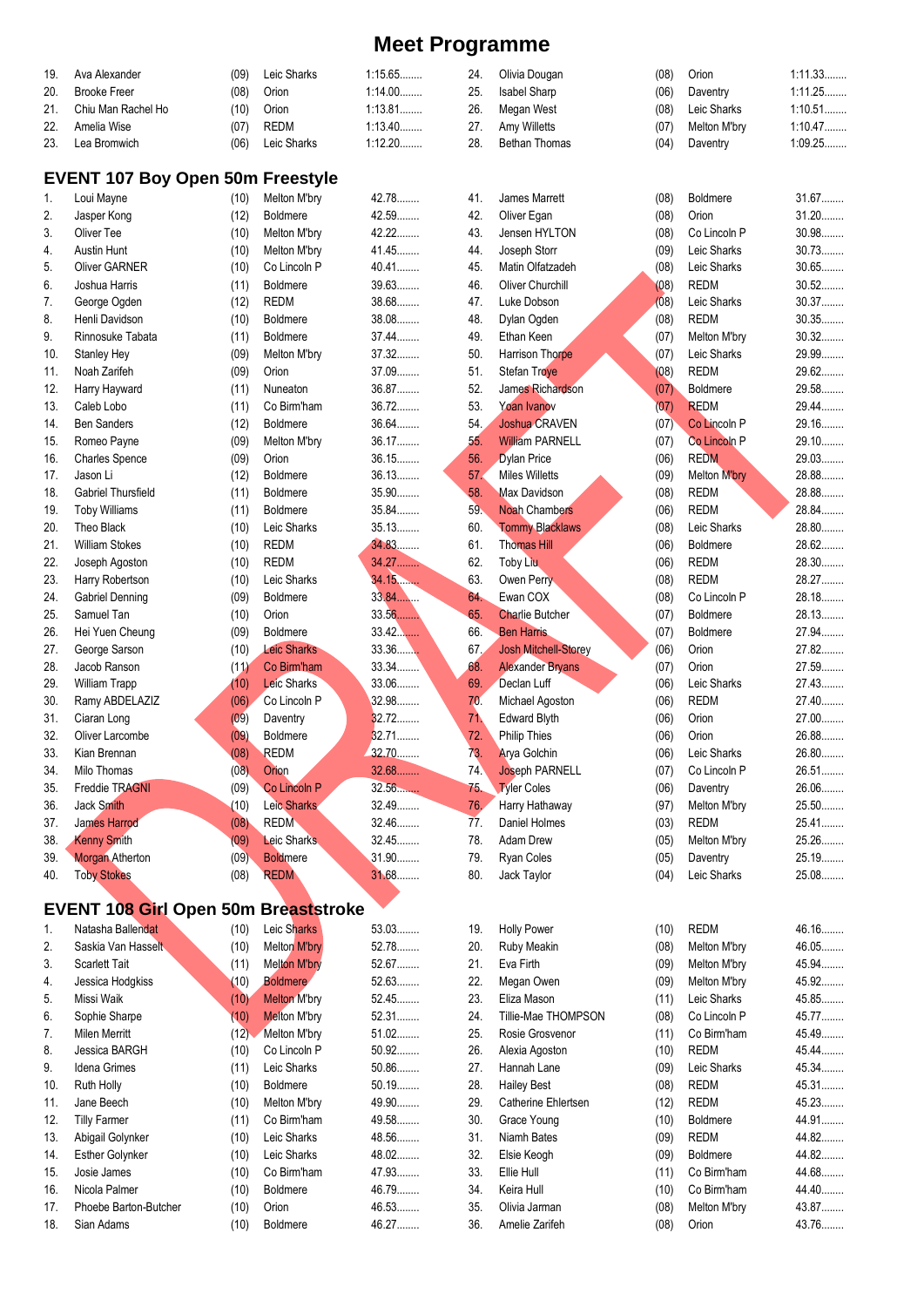| 19. | Ava Alexander                               | (09)         | Leic Sharks         | 1:15.65   | 24. | Olivia Dougan               | (08) | Orion           | 1:11.33 |
|-----|---------------------------------------------|--------------|---------------------|-----------|-----|-----------------------------|------|-----------------|---------|
| 20. | <b>Brooke Freer</b>                         | (08)         | Orion               | $1:14.00$ | 25. | Isabel Sharp                | (06) | Daventry        | 1:11.25 |
| 21. | Chiu Man Rachel Ho                          | (10)         | Orion               | 1:13.81   | 26. | Megan West                  | (08) | Leic Sharks     | 1:10.51 |
| 22. | Amelia Wise                                 | (07)         | <b>REDM</b>         | 1:13.40   | 27. | Amy Willetts                | (07) | Melton M'bry    | 1:10.47 |
| 23. | Lea Bromwich                                | (06)         | Leic Sharks         | 1:12.20   | 28. | Bethan Thomas               | (04) | Daventry        | 1:09.25 |
|     |                                             |              |                     |           |     |                             |      |                 |         |
|     | <b>EVENT 107 Boy Open 50m Freestyle</b>     |              |                     |           |     |                             |      |                 |         |
| 1.  | Loui Mayne                                  | (10)         | Melton M'bry        | 42.78     | 41. | James Marrett               | (08) | <b>Boldmere</b> | 31.67   |
| 2.  | Jasper Kong                                 | (12)         | Boldmere            | 42.59     | 42. | Oliver Egan                 | (08) | Orion           | $31.20$ |
| 3.  | Oliver Tee                                  | (10)         | Melton M'bry        | 42.22     | 43. | Jensen HYLTON               | (08) | Co Lincoln P    | 30.98   |
| 4.  | <b>Austin Hunt</b>                          | (10)         | Melton M'bry        | 41.45     | 44. | Joseph Storr                | (09) | Leic Sharks     | 30.73   |
| 5.  | <b>Oliver GARNER</b>                        | (10)         | Co Lincoln P        | 40.41     | 45. | Matin Olfatzadeh            | (08) | Leic Sharks     | 30.65   |
| 6.  | Joshua Harris                               | (11)         | <b>Boldmere</b>     | 39.63     | 46. | Oliver Churchill            | (08) | <b>REDM</b>     | $30.52$ |
| 7.  | George Ogden                                | (12)         | <b>REDM</b>         | 38.68     | 47. | Luke Dobson                 | (08) | Leic Sharks     | 30.37   |
| 8.  | Henli Davidson                              | (10)         | <b>Boldmere</b>     | 38.08     | 48. | Dylan Ogden                 | (08) | <b>REDM</b>     | 30.35   |
| 9.  | Rinnosuke Tabata                            | (11)         | Boldmere            | 37.44     | 49. | Ethan Keen                  | (07) | Melton M'bry    | $30.32$ |
| 10. | Stanley Hey                                 | (09)         | Melton M'bry        | 37.32     | 50. | Harrison Thorpe             | (07) | Leic Sharks     | 29.99   |
| 11. | Noah Zarifeh                                | (09)         | Orion               | 37.09     | 51. | Stefan Troye                | (08) | <b>REDM</b>     | 29.62   |
| 12. | Harry Hayward                               | (11)         | Nuneaton            | 36.87     | 52. | James Richardson            | (07) | Boldmere        | 29.58   |
| 13. | Caleb Lobo                                  | (11)         | Co Birm'ham         | 36.72     | 53. | Yoan Ivanov                 | (07) | <b>REDM</b>     | 29.44   |
| 14. | <b>Ben Sanders</b>                          |              | <b>Boldmere</b>     | 36.64     | 54. | Joshua CRAVEN               | (07) | Co Lincoln P    | 29.16   |
| 15. | Romeo Payne                                 | (12)<br>(09) | Melton M'bry        | 36.17     | 55. | <b>William PARNELL</b>      | (07) | Co Lincoln P    | 29.10   |
|     |                                             |              |                     |           |     |                             |      |                 | 29.03   |
| 16. | <b>Charles Spence</b>                       | (09)         | Orion               | 36.15     | 56. | Dylan Price                 | (06) | <b>REDM</b>     |         |
| 17. | Jason Li                                    | (12)         | Boldmere            | 36.13     | 57. | <b>Miles Willetts</b>       | (09) | Melton M'bry    | 28.88   |
| 18. | <b>Gabriel Thursfield</b>                   | (11)         | Boldmere            | 35.90     | 58. | <b>Max Davidson</b>         | (08) | <b>REDM</b>     | 28.88   |
| 19. | <b>Toby Williams</b>                        | (11)         | <b>Boldmere</b>     | 35.84     | 59. | <b>Noah Chambers</b>        | (06) | <b>REDM</b>     | 28.84   |
| 20. | Theo Black                                  | (10)         | Leic Sharks         | 35.13     | 60. | <b>Tommy Blacklaws</b>      | (08) | Leic Sharks     | 28.80   |
| 21. | <b>William Stokes</b>                       | (10)         | <b>REDM</b>         | 34.83.    | 61. | <b>Thomas Hill</b>          | (06) | <b>Boldmere</b> | 28.62   |
| 22. | Joseph Agoston                              | (10)         | <b>REDM</b>         | 34.27     | 62. | Toby Liu                    | (06) | <b>REDM</b>     | 28.30   |
| 23. | Harry Robertson                             | (10)         | Leic Sharks         | 34.15     | 63. | Owen Perry                  | (08) | <b>REDM</b>     | 28.27   |
| 24. | Gabriel Denning                             | (09)         | Boldmere            | 33.84     | 64. | Ewan COX                    | (08) | Co Lincoln P    | 28.18   |
| 25. | Samuel Tan                                  | (10)         | Orion               | 33.56     | 65. | <b>Charlie Butcher</b>      | (07) | <b>Boldmere</b> | 28.13   |
| 26. | Hei Yuen Cheung                             | (09)         | <b>Boldmere</b>     | 33.42     | 66. | <b>Ben Harris</b>           | (07) | Boldmere        | 27.94   |
| 27. | George Sarson                               | (10)         | <b>Leic Sharks</b>  | 33.36     | 67. | <b>Josh Mitchell-Storey</b> | (06) | Orion           | 27.82   |
| 28. | Jacob Ranson                                | (11)         | Co Birm'ham         | $33.34$   | 68. | <b>Alexander Bryans</b>     | (07) | Orion           | 27.59   |
| 29. | <b>William Trapp</b>                        | (10)         | Leic Sharks         | 33.06     | 69. | Declan Luff                 | (06) | Leic Sharks     | 27.43   |
| 30. | Ramy ABDELAZIZ                              | (06)         | Co Lincoln P        | 32.98     | 70. | Michael Agoston             | (06) | <b>REDM</b>     | 27.40   |
| 31. | Ciaran Long                                 | (09)         | Daventry            | 32.72     | 71. | <b>Edward Blyth</b>         | (06) | Orion           | 27.00   |
| 32. | Oliver Larcombe                             | (09)         | Boldmere            | 32.71     | 72. | <b>Philip Thies</b>         | (06) | Orion           | 26.88   |
| 33. | Kian Brennan                                | (08)         | <b>REDM</b>         | 32.70.    | 73. | Arya Golchin                | (06) | Leic Sharks     | 26.80   |
| 34. | Milo Thomas                                 | (08)         | Orion               | 32.68.    | 74. | Joseph PARNELL              | (07) | Co Lincoln P    | 26.51   |
| 35. | Freddie TRAGNI                              | (09)         | Co Lincoln P        | 32.56     | 75. | <b>Tyler Coles</b>          | (06) | Daventry        | 26.06   |
| 36. | Jack Smith                                  | (10)         | Leic Sharks         | 32.49     | 76. | Harry Hathaway              | (97) | Melton M'bry    | 25.50   |
| 37. | <b>James Harrod</b>                         | (08)         | <b>REDM</b>         | 32.46     | 77. | Daniel Holmes               | (03) | <b>REDM</b>     | 25.41   |
| 38. | <b>Kenny Smith</b>                          | (09)         | Leic Sharks         | 32.45     | 78. | Adam Drew                   | (05) | Melton M'bry    | 25.26   |
| 39. | <b>Morgan Atherton</b>                      | (09)         | <b>Boldmere</b>     | 31.90     | 79. | Ryan Coles                  | (05) | Daventry        | 25.19.  |
| 40. | <b>Toby Stokes</b>                          | (08)         | <b>REDM</b>         | 31.68     | 80. | Jack Taylor                 | (04) | Leic Sharks     | 25.08   |
|     |                                             |              |                     |           |     |                             |      |                 |         |
|     | <b>EVENT 108 Girl Open 50m Breaststroke</b> |              |                     |           |     |                             |      |                 |         |
| 1.  | Natasha Ballendat                           | (10)         | Leic Sharks         | 53.03     | 19. | <b>Holly Power</b>          | (10) | <b>REDM</b>     | 46.16   |
| 2.  | Saskia Van Hasselt                          | (10)         | Melton M'bry        | 52.78     | 20. | Ruby Meakin                 | (08) | Melton M'bry    | 46.05   |
| 3.  | <b>Scarlett Tait</b>                        | (11)         | <b>Melton M'bry</b> | 52.67     | 21. | Eva Firth                   | (09) | Melton M'bry    | 45.94   |
| 4.  | Jessica Hodgkiss                            | (10)         | <b>Boldmere</b>     | 52.63     | 22. | Megan Owen                  | (09) | Melton M'bry    | 45.92   |
| 5.  | Missi Waik                                  | (10)         | <b>Melton M'bry</b> | 52.45     | 23. | Eliza Mason                 | (11) | Leic Sharks     | 45.85   |
| 6.  | Sophie Sharpe                               | (10)         | <b>Melton M'bry</b> | 52.31     | 24. | Tillie-Mae THOMPSON         | (08) | Co Lincoln P    | 45.77   |
| 7.  | <b>Milen Merritt</b>                        | (12)         | Melton M'bry        | $51.02$   | 25. | Rosie Grosvenor             | (11) | Co Birm'ham     | 45.49   |
| 8.  | Jessica BARGH                               | (10)         | Co Lincoln P        | 50.92     | 26. | Alexia Agoston              | (10) | <b>REDM</b>     | 45.44   |
| 9.  | Idena Grimes                                | (11)         | Leic Sharks         | 50.86     | 27. | Hannah Lane                 | (09) | Leic Sharks     | 45.34   |
| 10. | Ruth Holly                                  | (10)         | Boldmere            | 50.19     | 28. | <b>Hailey Best</b>          | (08) | <b>REDM</b>     | 45.31   |
| 11. | Jane Beech                                  | (10)         | Melton M'bry        | 49.90     | 29. | Catherine Ehlertsen         | (12) | <b>REDM</b>     | 45.23   |
| 12. | <b>Tilly Farmer</b>                         | (11)         | Co Birm'ham         | 49.58     | 30. | Grace Young                 | (10) | Boldmere        | 44.91   |
| 13. | Abigail Golynker                            | (10)         | Leic Sharks         | 48.56     | 31. | Niamh Bates                 | (09) | <b>REDM</b>     | 44.82   |
| 14. | <b>Esther Golynker</b>                      | (10)         | Leic Sharks         | 48.02     | 32. | Elsie Keogh                 | (09) | Boldmere        | 44.82   |
| 15. | Josie James                                 | (10)         | Co Birm'ham         | 47.93     | 33. | Ellie Hull                  | (11) | Co Birm'ham     | 44.68   |
|     |                                             |              |                     |           |     |                             |      |                 |         |

13. Abigail Golynker (10) Leic Sharks 14. Esther Golynker (10) Leic Sharks 15. Josie James (10) Co Birm'ham 47.93........ 16. Nicola Palmer (10) Boldmere 46.79........

17. Phoebe Barton-Butcher (10) Orion 46.53........ 18. Sian Adams (10) Boldmere 46.27........

33. Ellie Hull (11) Co Birm'ham 44.68........ 34. Keira Hull (10) Co Birm'ham 44.40........ 35. Olivia Jarman (08) Melton M'bry 43.87........ 36. Amelie Zarifeh (08) Orion 43.76........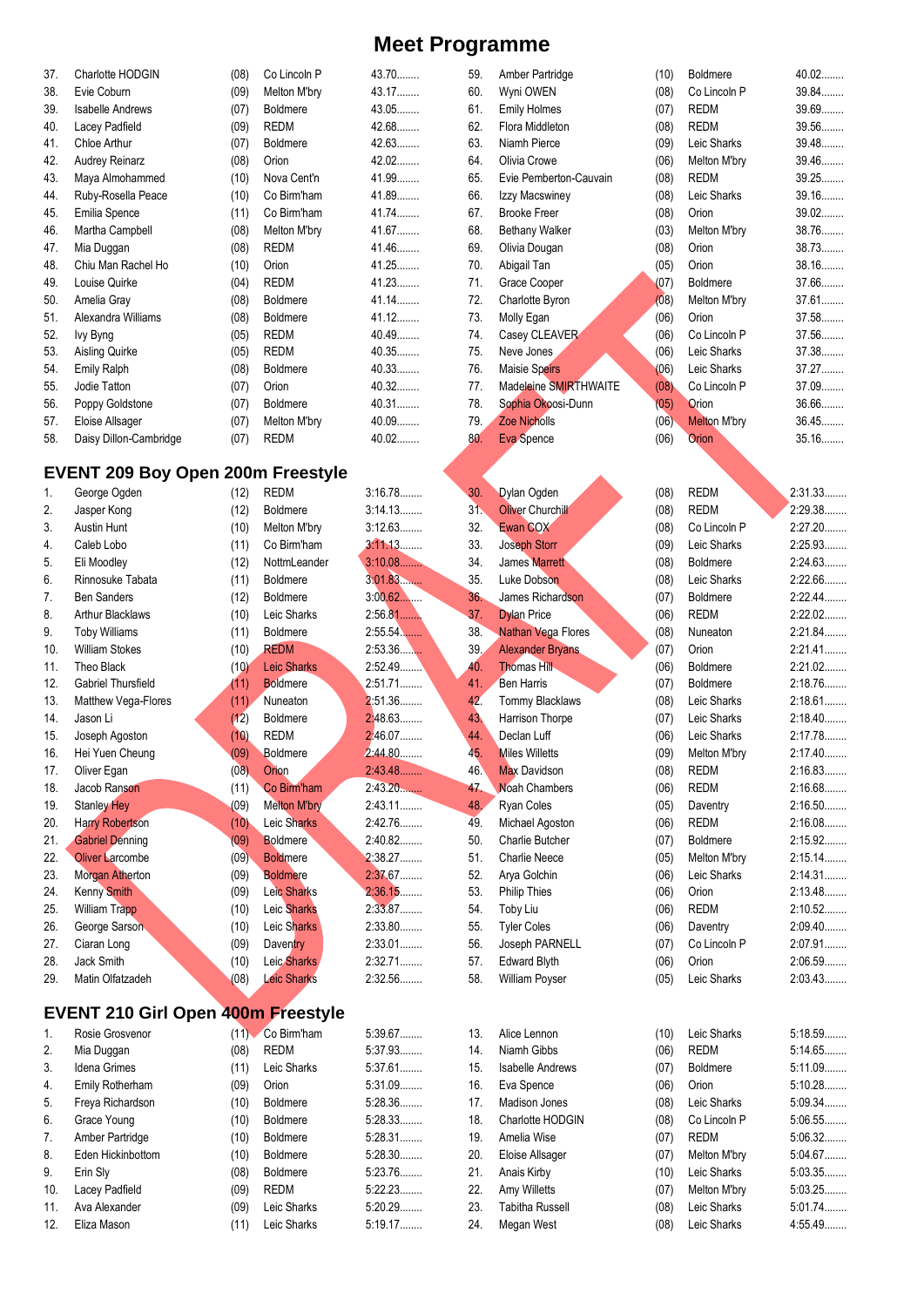| 37. | Charlotte HODGIN                          | (08) | Co Lincoln P        | 43.70     | 59. | Amber Partridge         | (10) | <b>Boldmere</b>     | 40.02              |
|-----|-------------------------------------------|------|---------------------|-----------|-----|-------------------------|------|---------------------|--------------------|
| 38. | Evie Coburn                               | (09) | Melton M'bry        | 43.17     | 60. | Wyni OWEN               | (08) | Co Lincoln P        | 39.84              |
| 39. | <b>Isabelle Andrews</b>                   | (07) | Boldmere            | 43.05     | 61. | <b>Emily Holmes</b>     | (07) | <b>REDM</b>         | 39.69              |
|     |                                           |      |                     | 42.68     |     |                         |      |                     | 39.56              |
| 40. | Lacey Padfield                            | (09) | <b>REDM</b>         |           | 62. | Flora Middleton         | (08) | <b>REDM</b>         |                    |
| 41. | Chloe Arthur                              | (07) | <b>Boldmere</b>     | 42.63     | 63. | Niamh Pierce            | (09) | Leic Sharks         | 39.48              |
| 42. | Audrey Reinarz                            | (08) | Orion               | 42.02     | 64. | Olivia Crowe            | (06) | Melton M'bry        | 39.46              |
| 43. | Maya Almohammed                           | (10) | Nova Cent'n         | 41.99     | 65. | Evie Pemberton-Cauvain  | (08) | <b>REDM</b>         | 39.25              |
| 44. | Ruby-Rosella Peace                        | (10) | Co Birm'ham         | 41.89     | 66. | Izzy Macswiney          | (08) | Leic Sharks         | 39.16              |
| 45. | Emilia Spence                             | (11) | Co Birm'ham         | 41.74     | 67. | <b>Brooke Freer</b>     | (08) | Orion               | $39.02$            |
| 46. | Martha Campbell                           | (08) | Melton M'bry        | 41.67     | 68. | Bethany Walker          | (03) | Melton M'bry        | 38.76              |
| 47. | Mia Duggan                                | (08) | <b>REDM</b>         | 41.46     | 69. | Olivia Dougan           | (08) | Orion               | 38.73              |
| 48. | Chiu Man Rachel Ho                        | (10) | Orion               | 41.25     | 70. | Abigail Tan             | (05) | Orion               | 38.16              |
| 49. | Louise Quirke                             | (04) | <b>REDM</b>         | 41.23     | 71. | Grace Cooper            | (07) | Boldmere            | 37.66              |
| 50. | Amelia Gray                               | (08) | <b>Boldmere</b>     | 41.14.    | 72. | Charlotte Byron         | (08) | Melton M'bry        | 37.61              |
| 51. | Alexandra Williams                        | (08) | <b>Boldmere</b>     | $41.12$   | 73. | Molly Egan              | (06) | Orion               | 37.58              |
| 52. | lvy Byng                                  | (05) | <b>REDM</b>         | 40.49     | 74. | Casey CLEAVER           | (06) | Co Lincoln P        | 37.56              |
| 53. | Aisling Quirke                            | (05) | <b>REDM</b>         | 40.35     | 75. | Neve Jones              | (06) | Leic Sharks         | 37.38              |
| 54. | Emily Ralph                               | (08) | <b>Boldmere</b>     | 40.33     | 76. | Maisie Speirs           | (06) | Leic Sharks         | 37.27              |
|     | Jodie Tatton                              |      | Orion               | 40.32     | 77. |                         |      | Co Lincoln P        | 37.09              |
| 55. |                                           | (07) |                     |           |     | Madeleine SMIRTHWAITE   | (08) |                     |                    |
| 56. | Poppy Goldstone                           | (07) | Boldmere            | 40.31     | 78. | Sophia Okoosi-Dunn      | (05) | Orion               | 36.66              |
| 57. | Eloise Allsager                           | (07) | Melton M'bry        | 40.09     | 79. | Zoe Nicholls            | (06) | <b>Melton M'bry</b> | 36.45              |
| 58. | Daisy Dillon-Cambridge                    | (07) | <b>REDM</b>         | 40.02     | 80. | Eva Spence              | (06) | <b>Orion</b>        | 35.16              |
|     |                                           |      |                     |           |     |                         |      |                     |                    |
|     | <b>EVENT 209 Boy Open 200m Freestyle</b>  |      |                     |           |     |                         |      |                     |                    |
| 1.  | George Ogden                              | (12) | <b>REDM</b>         | 3:16.78   | 30. | Dylan Ogden             | (08) | <b>REDM</b>         | 2:31.33            |
| 2.  | Jasper Kong                               | (12) | <b>Boldmere</b>     | 3:14.13   | 31. | <b>Oliver Churchill</b> | (08) | <b>REDM</b>         | 2:29.38            |
| 3.  | Austin Hunt                               | (10) | Melton M'bry        | 3:12.63   | 32. | Ewan COX                | (08) | Co Lincoln P        | 2:27.20            |
| 4.  | Caleb Lobo                                | (11) | Co Birm'ham         | 3:11.13   | 33. | Joseph Storr            | (09) | Leic Sharks         | 2:25.93            |
| 5.  | Eli Moodley                               | (12) | NottmLeander        | 3:10.08   | 34. | <b>James Marrett</b>    | (08) | <b>Boldmere</b>     | 2:24.63            |
| 6.  | Rinnosuke Tabata                          | (11) | Boldmere            | 3:01.83   | 35. | Luke Dobson             | (08) | Leic Sharks         | 2:22.66            |
| 7.  | <b>Ben Sanders</b>                        | (12) | <b>Boldmere</b>     | $3:00.62$ | 36. | James Richardson        | (07) | <b>Boldmere</b>     | $2:22.44$          |
|     | <b>Arthur Blacklaws</b>                   |      | Leic Sharks         | 2:56.81   |     |                         |      | <b>REDM</b>         | 2:22.02            |
| 8.  |                                           | (10) |                     |           | 37. | <b>Dylan Price</b>      | (06) |                     |                    |
| 9.  | <b>Toby Williams</b>                      | (11) | Boldmere            | $2:55.54$ | 38. | Nathan Vega Flores      | (08) | Nuneaton            | 2:21.84            |
| 10. | <b>William Stokes</b>                     | (10) | <b>REDM</b>         | $2:53.36$ | 39. | <b>Alexander Bryans</b> | (07) | Orion               | $2:21.41$          |
| 11. | Theo Black                                | (10) | <b>Leic Sharks</b>  | 2.52.49   | 40. | <b>Thomas Hill</b>      | (06) | Boldmere            | $2:21.02$          |
| 12. | <b>Gabriel Thursfield</b>                 | (11) | <b>Boldmere</b>     | 2:51.71   | 41. | <b>Ben Harris</b>       | (07) | <b>Boldmere</b>     | 2:18.76            |
| 13. | Matthew Vega-Flores                       | (11) | Nuneaton            | 2:51.36   | 42. | Tommy Blacklaws         | (08) | Leic Sharks         | 2:18.61            |
| 14. | Jason Li                                  | (12) | Boldmere            | 2:48.63   | 43. | Harrison Thorpe         | (07) | Leic Sharks         | 2:18.40            |
| 15. | Joseph Agoston                            | (10) | <b>REDM</b>         | 2:46.07   | 44. | Declan Luff             | (06) | Leic Sharks         | 2:17.78            |
| 16. | Hei Yuen Cheung                           | (09) | Boldmere            | 2:44.80   | 45. | <b>Miles Willetts</b>   | (09) | Melton M'bry        | 2:17.40            |
| 17. | Oliver Egan                               | (08) | Orion               | 2.43.48   | 46. | <b>Max Davidson</b>     | (08) | <b>REDM</b>         | 2:16.83            |
| 18. | Jacob Ranson                              | (11) | Co Birm'ham         | 2:43.20   | 47. | <b>Noah Chambers</b>    | (06) | <b>REDM</b>         | 2:16.68            |
| 19. | <b>Stanley Hey</b>                        | (09) | <b>Melton M'bry</b> | 2:43.11   | 48. | Ryan Coles              | (05) | Daventry            | 2:16.50            |
| 20. | <b>Harry Robertson</b>                    | (10) | Leic Sharks         | 2:42.76   | 49. | Michael Agoston         | (06) | <b>REDM</b>         | 2:16.08            |
| 21. | <b>Gabriel Denning</b>                    |      | <b>Boldmere</b>     | 2:40.82   | 50. | Charlie Butcher         |      | <b>Boldmere</b>     | 2:15.92            |
|     |                                           | (09) |                     |           |     |                         | (07) |                     |                    |
| 22. | <b>Oliver Larcombe</b>                    | (09) | <b>Boldmere</b>     | 2:38.27   | 51. | <b>Charlie Neece</b>    | (05) | Melton M'bry        | 2:15.14            |
| 23. | Morgan Atherton                           | (09) | <b>Boldmere</b>     | 2:37.67   | 52. | Arya Golchin            | (06) | Leic Sharks         | 2:14.31            |
| 24. | Kenny Smith                               | (09) | Leic Sharks         | 2:36.15   | 53. | <b>Philip Thies</b>     | (06) | Orion               | 2:13.48            |
| 25. | William Trapp                             | (10) | Leic Sharks         | 2:33.87   | 54. | Toby Liu                | (06) | <b>REDM</b>         | 2:10.52            |
| 26. | George Sarson                             | (10) | Leic Sharks         | 2:33.80   | 55. | <b>Tyler Coles</b>      | (06) | Daventry            | 2:09.40            |
| 27. | Ciaran Long                               | (09) | Daventry            | 2:33.01   | 56. | Joseph PARNELL          | (07) | Co Lincoln P        | 2:07.91            |
| 28. | Jack Smith                                | (10) | Leic Sharks         | 2:32.71   | 57. | <b>Edward Blyth</b>     | (06) | Orion               | 2:06.59            |
| 29. | Matin Olfatzadeh                          | (08) | <b>Leic Sharks</b>  | 2:32.56   | 58. | William Poyser          | (05) | Leic Sharks         | 2:03.43            |
|     |                                           |      |                     |           |     |                         |      |                     |                    |
|     | <b>EVENT 210 Girl Open 400m Freestyle</b> |      |                     |           |     |                         |      |                     |                    |
| 1.  | Rosie Grosvenor                           |      | (11) Co Birm'ham    | 5:39.67   | 13. | Alice Lennon            | (10) | Leic Sharks         | 5:18.59            |
| 2.  | Mia Duggan                                | (08) | <b>REDM</b>         | 5:37.93   | 14. | Niamh Gibbs             | (06) | <b>REDM</b>         | 5:14.65            |
| 3.  | Idena Grimes                              | (11) | Leic Sharks         | 5:37.61   | 15. | <b>Isabelle Andrews</b> | (07) | <b>Boldmere</b>     | $5:11.09$          |
| 4.  | Emily Rotherham                           | (09) | Orion               | 5:31.09   | 16. | Eva Spence              | (06) | Orion               | 5:10.28            |
| 5.  | Freya Richardson                          | (10) | Boldmere            | 5:28.36   | 17. | Madison Jones           | (08) | Leic Sharks         | 5:09.34            |
|     |                                           |      |                     |           |     |                         |      |                     |                    |
| 6.  | Grace Young                               | (10) | Boldmere            | 5:28.33   | 18. | Charlotte HODGIN        | (08) | Co Lincoln P        | 5:06.55<br>5:06.32 |
| 7.  | Amber Partridge                           | (10) | Boldmere            | 5:28.31   | 19. | Amelia Wise             | (07) | <b>REDM</b>         |                    |
| 8.  | Eden Hickinbottom                         | (10) | <b>Boldmere</b>     | 5:28.30   | 20. | Eloise Allsager         | (07) | Melton M'bry        | 5:04.67            |
| 9.  | Erin Sly                                  | (08) | <b>Boldmere</b>     | 5:23.76   | 21. | Anais Kirby             | (10) | Leic Sharks         | 5:03.35            |
| 10. | Lacey Padfield                            | (09) | <b>REDM</b>         | 5:22.23   | 22. | Amy Willetts            | (07) | Melton M'bry        | 5:03.25            |
| 11. | Ava Alexander                             | (09) | Leic Sharks         | 5:20.29   | 23. | <b>Tabitha Russell</b>  | (08) | Leic Sharks         | 5:01.74            |
| 12. | Eliza Mason                               | (11) | Leic Sharks         | 5:19.17   | 24. | Megan West              | (08) | Leic Sharks         | 4:55.49            |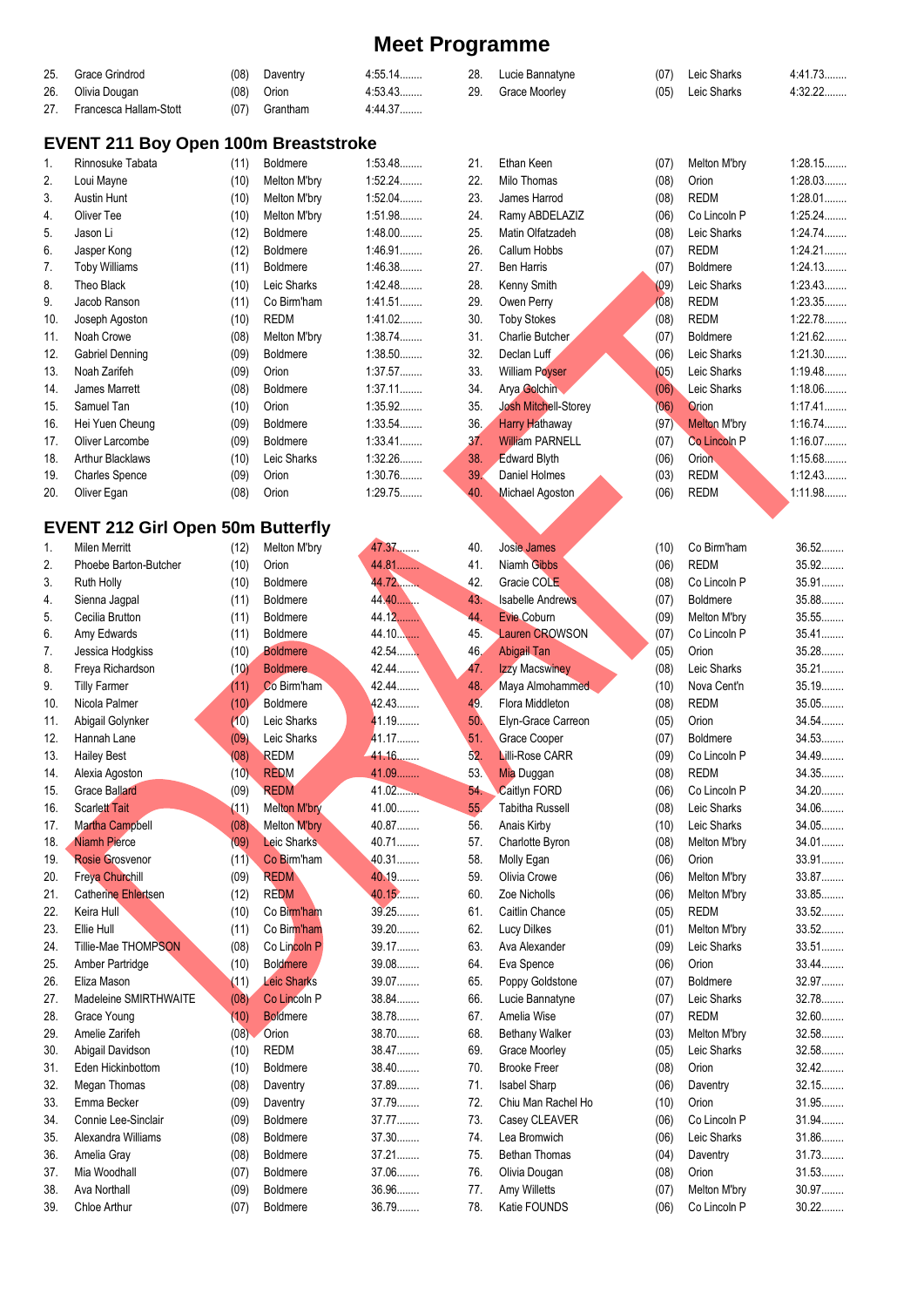| 25. | Grace Grindrod                              | (08) | Daventry            | 4:55.14   | 28.             | Lucie Bannatyne             | (07) | Leic Sharks         | 4:41.73 |
|-----|---------------------------------------------|------|---------------------|-----------|-----------------|-----------------------------|------|---------------------|---------|
| 26. | Olivia Dougan                               | (08) | Orion               | 4:53.43   | 29.             | Grace Moorley               | (05) | Leic Sharks         | 4:32.22 |
| 27. | Francesca Hallam-Stott                      | (07) | Grantham            | 4:44.37   |                 |                             |      |                     |         |
|     |                                             |      |                     |           |                 |                             |      |                     |         |
|     | <b>EVENT 211 Boy Open 100m Breaststroke</b> |      |                     |           |                 |                             |      |                     |         |
| 1.  | Rinnosuke Tabata                            | (11) | Boldmere            | 1:53.48   | 21.             | Ethan Keen                  | (07) | Melton M'bry        | 1:28.15 |
| 2.  | Loui Mayne                                  | (10) | Melton M'bry        | 1:52.24   | 22.             | Milo Thomas                 | (08) | Orion               | 1:28.03 |
|     |                                             |      |                     |           |                 |                             |      |                     |         |
| 3.  | Austin Hunt                                 | (10) | Melton M'bry        | $1:52.04$ | 23.             | James Harrod                | (08) | <b>REDM</b>         | 1:28.01 |
| 4.  | Oliver Tee                                  | (10) | Melton M'bry        | 1:51.98   | 24.             | Ramy ABDELAZIZ              | (06) | Co Lincoln P        | 1:25.24 |
| 5.  | Jason Li                                    | (12) | <b>Boldmere</b>     | $1:48.00$ | 25.             | Matin Olfatzadeh            | (08) | Leic Sharks         | 1:24.74 |
| 6.  | Jasper Kong                                 | (12) | <b>Boldmere</b>     | 1:46.91   | 26.             | Callum Hobbs                | (07) | <b>REDM</b>         | 1:24.21 |
| 7.  | <b>Toby Williams</b>                        | (11) | <b>Boldmere</b>     | 1:46.38   | 27.             | <b>Ben Harris</b>           | (07) | Boldmere            | 1:24.13 |
| 8.  | Theo Black                                  | (10) | Leic Sharks         | 1.42.48   | 28.             | Kenny Smith                 | (09) | Leic Sharks         | 1:23.43 |
| 9.  | Jacob Ranson                                | (11) | Co Birm'ham         | 1.41.51   | 29.             | Owen Perry                  | (08) | <b>REDM</b>         | 1:23.35 |
| 10. | Joseph Agoston                              | (10) | <b>REDM</b>         | 1:41.02   | 30.             | <b>Toby Stokes</b>          | (08) | <b>REDM</b>         | 1:22.78 |
| 11. | Noah Crowe                                  | (08) | Melton M'bry        | 1:38.74   | 31.             | Charlie Butcher             | (07) | Boldmere            | 1:21.62 |
| 12. | Gabriel Denning                             | (09) | <b>Boldmere</b>     | 1:38.50   | 32.             | Declan Luff                 | (06) | Leic Sharks         | 1:21.30 |
| 13. | Noah Zarifeh                                | (09) | Orion               | 1:37.57   | 33.             | <b>William Poyser</b>       | (05) | Leic Sharks         | 1:19.48 |
| 14. | James Marrett                               |      |                     | $1:37.11$ | 34.             |                             | (06) | Leic Sharks         | 1:18.06 |
|     |                                             | (08) | <b>Boldmere</b>     |           |                 | Arya Golchin                |      |                     |         |
| 15. | Samuel Tan                                  | (10) | Orion               | 1:35.92   | 35.             | <b>Josh Mitchell-Storey</b> | (06) | Orion               | 1:17.41 |
| 16. | Hei Yuen Cheung                             | (09) | Boldmere            | 1:33.54   | 36.             | <b>Harry Hathaway</b>       | (97) | <b>Melton M'bry</b> | 1:16.74 |
| 17. | Oliver Larcombe                             | (09) | <b>Boldmere</b>     | 1:33.41   | 37 <sub>1</sub> | <b>William PARNELL</b>      | (07) | Co Lincoln P        | 1:16.07 |
| 18. | <b>Arthur Blacklaws</b>                     | (10) | Leic Sharks         | 1:32.26   | 38.             | <b>Edward Blyth</b>         | (06) | Orion.              | 1:15.68 |
| 19. | Charles Spence                              | (09) | Orion               | 1:30.76   | 39.             | Daniel Holmes               | (03) | <b>REDM</b>         | 1:12.43 |
| 20. | Oliver Egan                                 | (08) | Orion               | 1:29.75   | 40.             | Michael Agoston             | (06) | <b>REDM</b>         | 1:11.98 |
|     |                                             |      |                     |           |                 |                             |      |                     |         |
|     | <b>EVENT 212 Girl Open 50m Butterfly</b>    |      |                     |           |                 |                             |      |                     |         |
| 1.  | <b>Milen Merritt</b>                        | (12) | Melton M'bry        | 47.37     | 40.             | Josie James                 | (10) | Co Birm'ham         | $36.52$ |
| 2.  | Phoebe Barton-Butcher                       | (10) | Orion               | 44.81     | 41.             | Niamh Gibbs                 | (06) | <b>REDM</b>         | 35.92   |
|     |                                             |      |                     |           |                 |                             |      |                     | 35.91   |
| 3.  | Ruth Holly                                  | (10) | Boldmere            | 44.72     | 42.             | Gracie COLE                 | (08) | Co Lincoln P        |         |
| 4.  | Sienna Jagpal                               | (11) | <b>Boldmere</b>     | 44.40     | 43.             | <b>Isabelle Andrews</b>     | (07) | <b>Boldmere</b>     | 35.88   |
| 5.  | Cecilia Brutton                             | (11) | <b>Boldmere</b>     | 44.12.    | 44.             | Evie Coburn                 | (09) | Melton M'bry        | 35.55   |
| 6.  | Amy Edwards                                 | (11) | <b>Boldmere</b>     | 44.10.    | 45.             | <b>Lauren CROWSON</b>       | (07) | Co Lincoln P        | 35.41   |
| 7.  | Jessica Hodgkiss                            | (10) | <b>Boldmere</b>     | 42.54     | 46.             | Abigail Tan                 | (05) | Orion               | 35.28   |
| 8.  | Freya Richardson                            | (10) | <b>Boldmere</b>     | 42.44.    | 47.             | <b>Izzy Macswiney</b>       | (08) | Leic Sharks         | $35.21$ |
| 9.  | <b>Tilly Farmer</b>                         | (11) | Co Birm'ham         | 42.44     | 48.             | Maya Almohammed             | (10) | Nova Cent'n         | $35.19$ |
| 10. | Nicola Palmer                               | (10) | Boldmere            | 42.43.    | 49.             | Flora Middleton             | (08) | <b>REDM</b>         | $35.05$ |
| 11. | Abigail Golynker                            | (10) | Leic Sharks         | 41.19.    | 50.             | Elyn-Grace Carreon          | (05) | Orion               | 34.54   |
| 12. | Hannah Lane                                 | (09) | Leic Sharks         | 41.17     | 51.             | Grace Cooper                | (07) | <b>Boldmere</b>     | 34.53   |
| 13. | <b>Hailey Best</b>                          | (08) | <b>REDM</b>         | 41.16     | 52.             | <b>Lilli-Rose CARR</b>      | (09) | Co Lincoln P        | 34.49   |
| 14. | Alexia Agoston                              | (10) | <b>REDM</b>         | 41.09     | 53.             | Mia Duggan                  | (08) | <b>REDM</b>         | 34.35   |
| 15. | <b>Grace Ballard</b>                        | (09) | <b>REDM</b>         | 41.02     | 54.             | Caitlyn FORD                | (06) | Co Lincoln P        | 34.20   |
|     | <b>Scarlett Tait</b>                        |      |                     | 41.00     |                 |                             |      |                     | 34.06   |
| 16. |                                             | (11) | <b>Melton M'bry</b> |           | 55.             | <b>Tabitha Russell</b>      | (08) | Leic Sharks         |         |
| 17. | Martha Campbell                             | (08) | Melton M'bry        | 40.87     | 56.             | Anais Kirby                 | (10) | Leic Sharks         | 34.05   |
| 18. | <b>Niamh Pierce</b>                         | (09) | Leic Sharks         | 40.71     | 57.             | Charlotte Byron             | (08) | Melton M'bry        | 34.01   |
| 19. | <b>Rosie Grosvenor</b>                      | (11) | Co Birm'ham         | 40.31     | 58.             | Molly Egan                  | (06) | Orion               | 33.91   |
| 20. | <b>Freya Churchill</b>                      | (09) | <b>REDM</b>         | 40.19     | 59.             | Olivia Crowe                | (06) | Melton M'bry        | 33.87   |
| 21. | <b>Catherine Ehlertsen</b>                  | (12) | <b>REDM</b>         | 40.15     | 60.             | Zoe Nicholls                | (06) | Melton M'bry        | 33.85   |
| 22. | Keira Hull                                  | (10) | Co Birm'ham         | 39.25     | 61.             | Caitlin Chance              | (05) | <b>REDM</b>         | 33.52   |
| 23. | Ellie Hull                                  | (11) | Co Birm'ham         | 39.20     | 62.             | <b>Lucy Dilkes</b>          | (01) | Melton M'bry        | $33.52$ |
| 24. | Tillie-Mae THOMPSON                         | (08) | Co Lincoln P        | 39.17     | 63.             | Ava Alexander               | (09) | Leic Sharks         | $33.51$ |
| 25. | Amber Partridge                             | (10) | <b>Boldmere</b>     | 39.08     | 64.             | Eva Spence                  | (06) | Orion               | 33.44   |
| 26. | Eliza Mason                                 | (11) | <b>Leic Sharks</b>  | 39.07     | 65.             | Poppy Goldstone             | (07) | <b>Boldmere</b>     | 32.97   |
| 27. | Madeleine SMIRTHWAITE                       | (08) | Co Lincoln P        | 38.84     | 66.             | Lucie Bannatyne             | (07) | Leic Sharks         | 32.78   |
|     |                                             |      |                     |           |                 |                             |      |                     | 32.60   |
| 28. | Grace Young                                 | (10) | <b>Boldmere</b>     | 38.78     | 67.             | Amelia Wise                 | (07) | <b>REDM</b>         |         |
| 29. | Amelie Zarifeh                              | (08) | Orion               | 38.70     | 68.             | <b>Bethany Walker</b>       | (03) | Melton M'bry        | 32.58   |
| 30. | Abigail Davidson                            | (10) | <b>REDM</b>         | 38.47     | 69.             | Grace Moorley               | (05) | Leic Sharks         | 32.58   |
| 31. | Eden Hickinbottom                           | (10) | Boldmere            | 38.40     | 70.             | <b>Brooke Freer</b>         | (08) | Orion               | 32.42   |
| 32. | Megan Thomas                                | (08) | Daventry            | 37.89     | 71.             | Isabel Sharp                | (06) | Daventry            | 32.15   |
| 33. | Emma Becker                                 | (09) | Daventry            | 37.79     | 72.             | Chiu Man Rachel Ho          | (10) | Orion               | 31.95   |
| 34. | Connie Lee-Sinclair                         | (09) | <b>Boldmere</b>     | 37.77     | 73.             | Casey CLEAVER               | (06) | Co Lincoln P        | 31.94   |
| 35. | Alexandra Williams                          | (08) | Boldmere            | 37.30     | 74.             | Lea Bromwich                | (06) | Leic Sharks         | 31.86   |
| 36. | Amelia Gray                                 | (08) | Boldmere            | 37.21     | 75.             | Bethan Thomas               | (04) | Daventry            | 31.73   |
| 37. | Mia Woodhall                                | (07) | <b>Boldmere</b>     | 37.06     | 76.             | Olivia Dougan               | (08) | Orion               | 31.53   |
| 38. | Ava Northall                                |      | Boldmere            | 36.96     | 77.             | Amy Willetts                |      | Melton M'bry        | 30.97   |
|     |                                             | (09) |                     |           |                 |                             | (07) |                     |         |
| 39. | Chloe Arthur                                | (07) | Boldmere            | 36.79     | 78.             | Katie FOUNDS                | (06) | Co Lincoln P        | $30.22$ |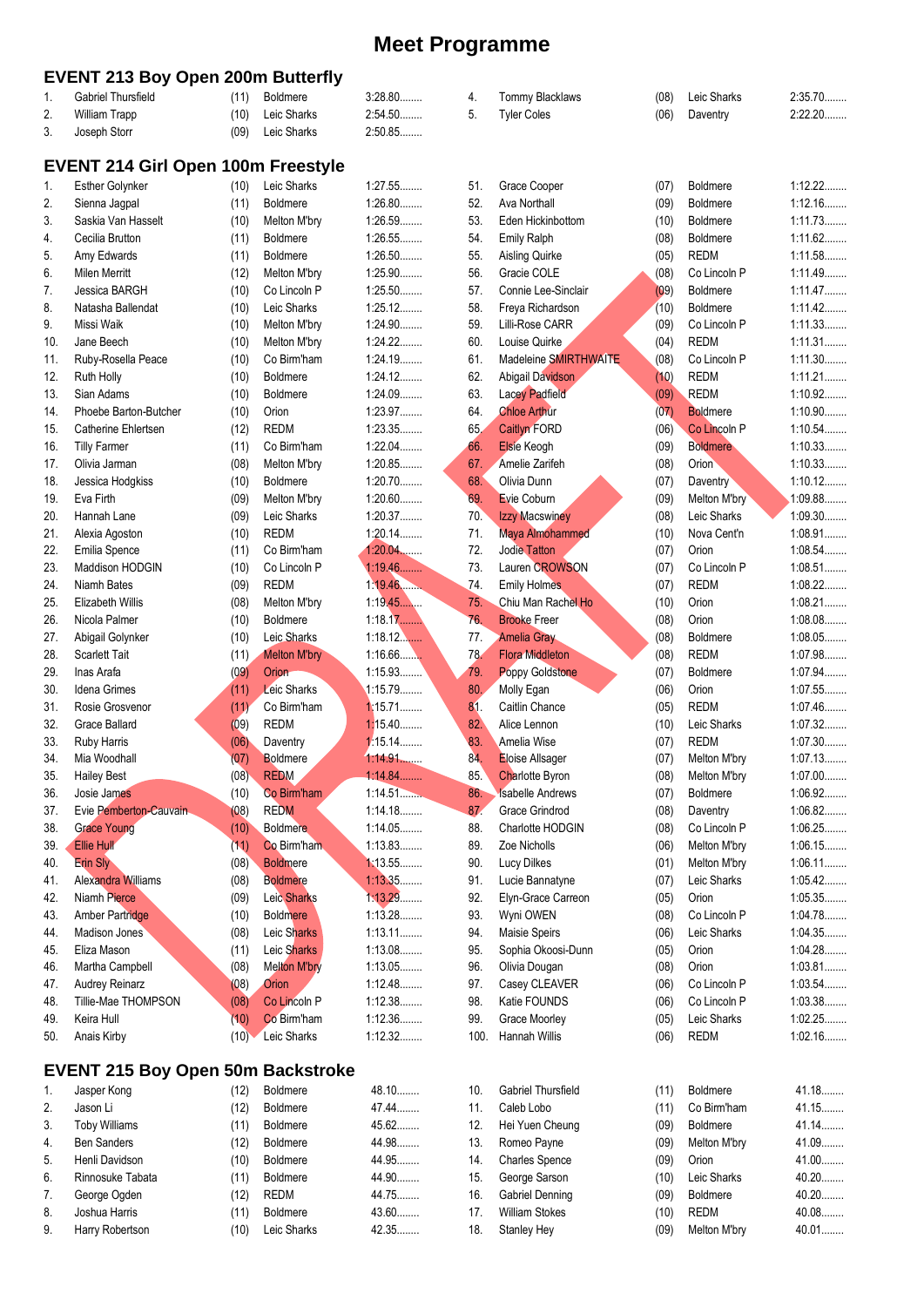|     | <b>EVENT 213 Boy Open 200m Butterfly</b>  |      |                              |                      |      |                                                   |       |                                    |                      |
|-----|-------------------------------------------|------|------------------------------|----------------------|------|---------------------------------------------------|-------|------------------------------------|----------------------|
| 1.  | <b>Gabriel Thursfield</b>                 | (11) | <b>Boldmere</b>              | $3:28.80$            | 4.   | Tommy Blacklaws                                   | (08)  | Leic Sharks                        | 2:35.70              |
| 2.  | <b>William Trapp</b>                      | (10) | Leic Sharks                  | 2:54.50              | 5.   | <b>Tyler Coles</b>                                | (06)  | Daventry                           | 2:22.20              |
| 3.  | Joseph Storr                              | (09) | Leic Sharks                  | 2:50.85              |      |                                                   |       |                                    |                      |
|     |                                           |      |                              |                      |      |                                                   |       |                                    |                      |
|     | <b>EVENT 214 Girl Open 100m Freestyle</b> |      |                              |                      |      |                                                   |       |                                    | 1:12.22              |
| 1.  | <b>Esther Golynker</b>                    | (10) | Leic Sharks                  | 1:27.55<br>1:26.80   | 51.  | Grace Cooper                                      | (07)  | <b>Boldmere</b>                    |                      |
| 2.  | Sienna Jagpal                             | (11) | <b>Boldmere</b>              |                      | 52.  | Ava Northall                                      | (09)  | <b>Boldmere</b>                    | 1:12.16<br>1:11.73   |
| 3.  | Saskia Van Hasselt                        | (10) | Melton M'bry                 | 1:26.59<br>1:26.55   | 53.  | Eden Hickinbottom                                 | (10)  | <b>Boldmere</b><br><b>Boldmere</b> |                      |
| 4.  | Cecilia Brutton                           | (11) | <b>Boldmere</b>              |                      | 54.  | <b>Emily Ralph</b>                                | (08)  |                                    | 1:11.62              |
| 5.  | Amy Edwards                               | (11) | <b>Boldmere</b>              | 1:26.50              | 55.  | Aisling Quirke                                    | (05)  | <b>REDM</b>                        | 1:11.58              |
| 6.  | <b>Milen Merritt</b>                      | (12) | Melton M'bry<br>Co Lincoln P | 1:25.90              | 56.  | Gracie COLE                                       | (08)  | Co Lincoln P                       | 1:11.49              |
| 7.  | <b>Jessica BARGH</b>                      | (10) |                              | 1:25.50              | 57.  | Connie Lee-Sinclair                               | (0.9) | Boldmere                           | 1:11.47              |
| 8.  | Natasha Ballendat                         | (10) | Leic Sharks                  | 1:25.12              | 58.  | Freya Richardson                                  | (10)  | <b>Boldmere</b>                    | 1:11.42              |
| 9.  | Missi Waik                                | (10) | Melton M'bry                 | 1:24.90              | 59.  | Lilli-Rose CARR                                   | (09)  | Co Lincoln P                       | 1:11.33              |
| 10. | Jane Beech                                | (10) | Melton M'bry                 | 1:24.22              | 60.  | Louise Quirke                                     | (04)  | <b>REDM</b>                        | 1:11.31              |
| 11. | Ruby-Rosella Peace                        | (10) | Co Birm'ham                  | 1:24.19              | 61.  | Madeleine SMIRTHWAITE                             | (08)  | Co Lincoln P                       | 1:11.30              |
| 12. | Ruth Holly                                | (10) | <b>Boldmere</b>              | 1:24.12              | 62.  | Abigail Davidson                                  | (10)  | <b>REDM</b>                        | 1:11.21              |
| 13. | Sian Adams                                | (10) | <b>Boldmere</b>              | 1:24.09              | 63.  | <b>Lacey Padfield</b>                             | (09)  | <b>REDM</b>                        | 1:10.92              |
| 14. | Phoebe Barton-Butcher                     | (10) | Orion                        | 1:23.97              | 64.  | <b>Chloe Arthur</b>                               | (07)  | <b>Boldmere</b>                    | 1:10.90              |
| 15. | Catherine Ehlertsen                       | (12) | <b>REDM</b>                  | 1:23.35              | 65.  | Caitlyn FORD                                      | (06)  | Co Lincoln P                       | 1:10.54              |
| 16. | <b>Tilly Farmer</b>                       | (11) | Co Birm'ham                  | 1:22.04              | 66.  | Elsie Keogh                                       | (09)  | <b>Boldmere</b>                    | 1:10.33              |
| 17. | Olivia Jarman                             | (08) | Melton M'bry                 | 1:20.85              | 67.  | Amelie Zarifeh                                    | (08)  | Orion                              | 1:10.33              |
| 18. | Jessica Hodgkiss                          | (10) | Boldmere                     | $1:20.70$            | 68.  | Olivia Dunn                                       | (07)  | Daventry                           | 1:10.12              |
| 19. | Eva Firth                                 | (09) | Melton M'bry                 | $1:20.60$            | 69.  | Evie Coburn                                       | (09)  | Melton M'bry                       | 1:09.88              |
| 20. | Hannah Lane                               | (09) | Leic Sharks                  | 1:20.37              | 70.  | <b>Izzy Macswiney</b>                             | (08)  | Leic Sharks                        | 1:09.30              |
| 21. | Alexia Agoston                            | (10) | <b>REDM</b>                  | $1:20.14$            | 71.  | Maya Almohammed                                   | (10)  | Nova Cent'n                        | 1:08.91              |
| 22. | Emilia Spence                             | (11) | Co Birm'ham                  | $1:20.04$            | 72.  | <b>Jodie Tatton</b>                               | (07)  | Orion                              | 1:08.54              |
| 23. | Maddison HODGIN                           | (10) | Co Lincoln P                 | 1:19.46              | 73.  | Lauren CROWSON                                    | (07)  | Co Lincoln P                       | 1:08.51              |
| 24. | Niamh Bates                               | (09) | <b>REDM</b>                  | 1.19.46              | 74.  | <b>Emily Holmes</b>                               | (07)  | <b>REDM</b>                        | 1:08.22              |
| 25. | Elizabeth Willis                          | (08) | Melton M'bry                 | 1:19.45              | 75.  | Chiu Man Rachel Ho                                | (10)  | Orion                              | 1:08.21              |
| 26. | Nicola Palmer                             | (10) | <b>Boldmere</b>              | 1:18.17              | 76.  | <b>Brooke Freer</b>                               | (08)  | Orion                              | 1:08.08              |
| 27. | Abigail Golynker                          | (10) | Leic Sharks                  | 1:18.12              | 77.  | <b>Amelia Gray</b>                                | (08)  | Boldmere                           | 1:08.05              |
| 28. | <b>Scarlett Tait</b>                      | (11) | <b>Melton M'bry</b>          | 1:16.66              | 78.  | <b>Flora Middleton</b>                            | (08)  | <b>REDM</b>                        | 1:07.98              |
| 29. | Inas Arafa                                | (09) | Orion                        | 1:15.93              | 79.  | <b>Poppy Goldstone</b>                            | (07)  | Boldmere                           | 1:07.94              |
| 30. | Idena Grimes                              | (11) | Leic Sharks                  | 1:15.79<br>1:15.71   | 80.  | Molly Egan                                        | (06)  | Orion                              | 1:07.55<br>1:07.46   |
| 31. | Rosie Grosvenor                           | (11) | Co Birm'ham                  |                      | 81.  | Caitlin Chance                                    | (05)  | <b>REDM</b>                        | 1:07.32              |
| 32. | Grace Ballard                             | (09) | <b>REDM</b>                  | 1:15.40<br>$1.15.14$ | 82.  | Alice Lennon<br>Amelia Wise                       | (10)  | Leic Sharks                        |                      |
| 33. | <b>Ruby Harris</b>                        | (06) | Daventry                     |                      | 83.  |                                                   | (07)  | <b>REDM</b>                        | 1:07.30              |
| 34. | Mia Woodhall                              | (07) | Boldmere<br><b>REDM</b>      | 1:14.91<br>1:14.84   | 84.  | Eloise Allsager                                   | (07)  | Melton M'bry                       | 1:07.13<br>$1:07.00$ |
| 35. | <b>Hailey Best</b>                        | (08) |                              | 1:14.51              | 85.  | <b>Charlotte Byron</b><br><b>Isabelle Andrews</b> | (08)  | Melton M'bry                       | 1:06.92              |
| 36. | Josie James<br>Evie Pemberton-Cauvain     | (10) | Co Birm'ham                  | 1:14.18              | 86.  | Grace Grindrod                                    | (07)  | Boldmere                           | 1:06.82              |
| 37. |                                           | (08) | <b>REDM</b>                  |                      | 87   |                                                   | (08)  | Daventry                           |                      |
| 38. | <b>Grace Young</b>                        | (10) | <b>Boldmere</b>              | 1:14.05              | 88.  | Charlotte HODGIN                                  | (08)  | Co Lincoln P                       | 1:06.25              |
| 39. | <b>Ellie Hull</b><br><b>Erin Sly</b>      | (11) | Co Birm'ham                  | 1:13.83<br>1:13.55   | 89.  | Zoe Nicholls                                      | (06)  | Melton M'bry                       | 1:06.15<br>1:06.11   |
| 40. |                                           | (08) | <b>Boldmere</b>              | 1:13.35              | 90.  | <b>Lucy Dilkes</b>                                | (01)  | Melton M'bry                       | 1:05.42              |
| 41. | Alexandra Williams                        | (08) | <b>Boldmere</b>              |                      | 91.  | Lucie Bannatyne                                   | (07)  | Leic Sharks                        |                      |
| 42. | Niamh Pierce                              | (09) | Leic Sharks                  | 1:13.29              | 92.  | Elyn-Grace Carreon                                | (05)  | Orion                              | 1:05.35              |
| 43. | Amber Partridge                           | (10) | <b>Boldmere</b>              | 1:13.28              | 93.  | Wyni OWEN                                         | (08)  | Co Lincoln P                       | 1:04.78              |
| 44. | Madison Jones                             | (08) | Leic Sharks                  | 1:13.11              | 94.  | Maisie Speirs                                     | (06)  | Leic Sharks                        | 1:04.35              |
| 45. | Eliza Mason                               | (11) | Leic Sharks                  | 1:13.08              | 95.  | Sophia Okoosi-Dunn                                | (05)  | Orion                              | 1:04.28              |
| 46. | Martha Campbell                           | (08) | <b>Melton M'bry</b>          | 1:13.05              | 96.  | Olivia Dougan                                     | (08)  | Orion                              | 1:03.81              |
| 47. | <b>Audrey Reinarz</b>                     | (08) | Orion                        | 1:12.48              | 97.  | Casey CLEAVER                                     | (06)  | Co Lincoln P                       | 1:03.54              |
| 48. | Tillie-Mae THOMPSON                       | (08) | Co Lincoln P                 | 1:12.38              | 98.  | Katie FOUNDS                                      | (06)  | Co Lincoln P                       | 1:03.38              |
| 49. | Keira Hull                                | (10) | Co Birm'ham                  | 1:12.36              | 99.  | Grace Moorley                                     | (05)  | Leic Sharks                        | 1:02.25              |
| 50. | Anais Kirby                               | (10) | Leic Sharks                  | 1:12.32              | 100. | Hannah Willis                                     | (06)  | <b>REDM</b>                        | 1:02.16              |
|     |                                           | FA.  |                              |                      |      |                                                   |       |                                    |                      |

## **EVENT 215 Boy Open 50m Backstroke**

| 1. | Jasper Kong          | (12) | <b>Boldmere</b> | 48.10   |
|----|----------------------|------|-----------------|---------|
| 2. | Jason Li             | (12) | <b>Boldmere</b> | 47.44   |
| 3. | <b>Toby Williams</b> | (11) | <b>Boldmere</b> | $45.62$ |
| 4. | <b>Ben Sanders</b>   | (12) | <b>Boldmere</b> | 44.98   |
| 5. | Henli Davidson       | (10) | <b>Boldmere</b> | 44.95   |
| 6. | Rinnosuke Tabata     | (11) | <b>Boldmere</b> | 44.90   |
| 7. | George Ogden         | (12) | <b>REDM</b>     | 44.75   |
| 8. | Joshua Harris        | (11) | <b>Boldmere</b> | 43.60   |
| 9. | Harry Robertson      | (10) | Leic Sharks     | 42.35   |

| 10. | Gabriel Thursfield    | (11) | <b>Boldmere</b> | 41.18   |
|-----|-----------------------|------|-----------------|---------|
| 11. | Caleb Lobo            | (11) | Co Birm'ham     | 41.15   |
|     | 12. Hei Yuen Cheung   | (09) | <b>Boldmere</b> | $41.14$ |
| 13. | Romeo Payne           | (09) | Melton M'bry    | 41.09   |
| 14. | <b>Charles Spence</b> | (09) | Orion           | 41.00   |
| 15. | George Sarson         | (10) | Leic Sharks     | 40.20   |
| 16. | Gabriel Denning       | (09) | <b>Boldmere</b> | $40.20$ |
| 17. | William Stokes        | (10) | REDM            | 40.08   |

18. Stanley Hey (09) Melton M'bry 40.01........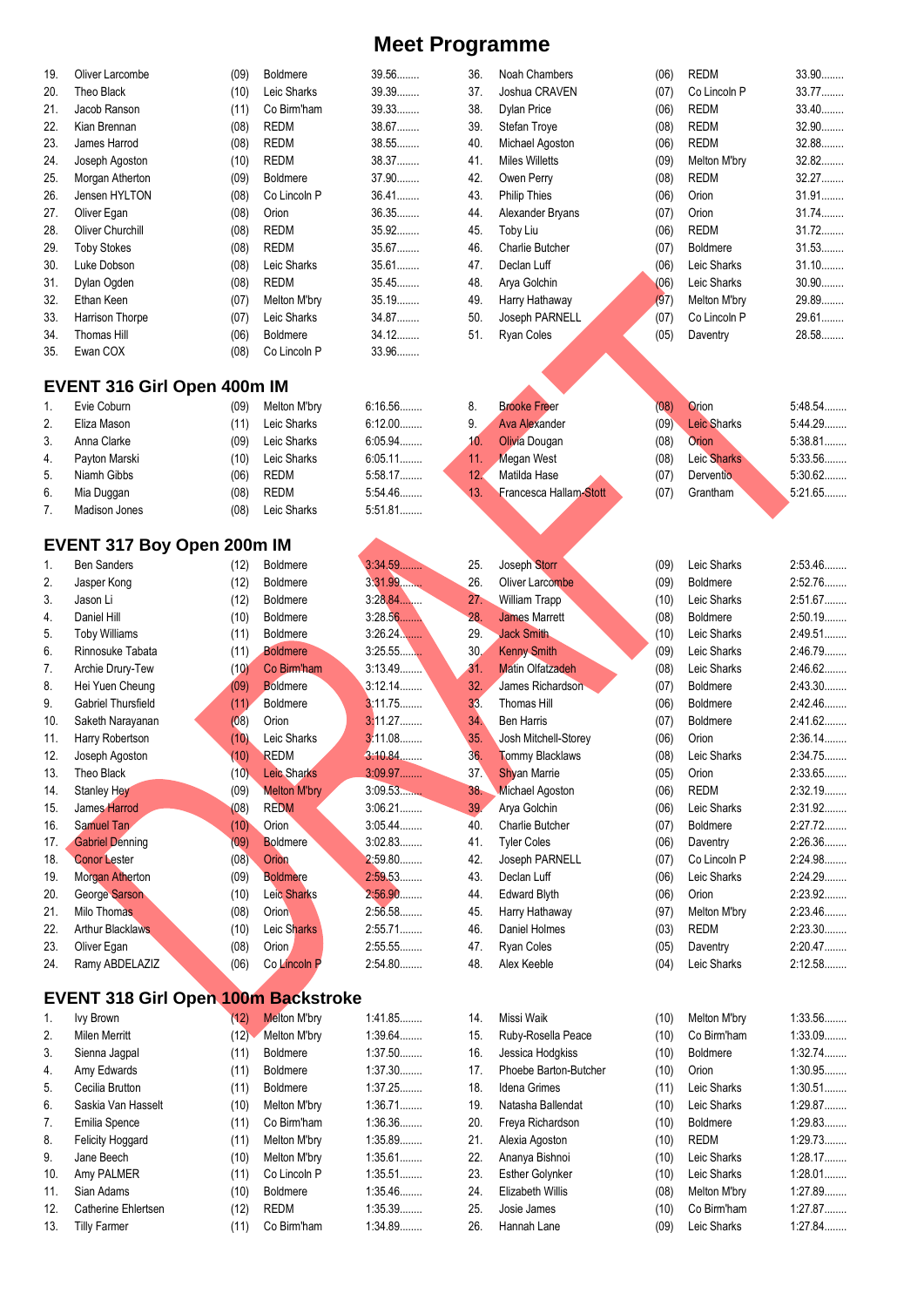| 19. | Oliver Larcombe                            | (09) | <b>Boldmere</b>     | 39.56………  | 36.             | Noah Chambers           | (06) | REDM               | $33.90\dots$ |
|-----|--------------------------------------------|------|---------------------|-----------|-----------------|-------------------------|------|--------------------|--------------|
| 20. | Theo Black                                 | (10) | Leic Sharks         | 39.39     | 37.             | Joshua CRAVEN           | (07) | Co Lincoln P       | 33.77        |
| 21. | Jacob Ranson                               | (11) | Co Birm'ham         | 39.33     | 38.             | <b>Dylan Price</b>      | (06) | <b>REDM</b>        | 33.40        |
| 22. | Kian Brennan                               | (08) | <b>REDM</b>         | 38.67     | 39.             | Stefan Troye            | (08) | <b>REDM</b>        | 32.90        |
|     |                                            |      |                     |           |                 |                         |      |                    |              |
| 23. | James Harrod                               | (08) | <b>REDM</b>         | 38.55     | 40.             | Michael Agoston         | (06) | <b>REDM</b>        | 32.88        |
| 24. | Joseph Agoston                             | (10) | <b>REDM</b>         | 38.37     | 41.             | <b>Miles Willetts</b>   | (09) | Melton M'bry       | 32.82        |
| 25. | Morgan Atherton                            | (09) | <b>Boldmere</b>     | 37.90     | 42.             | Owen Perry              | (08) | <b>REDM</b>        | 32.27        |
| 26. | Jensen HYLTON                              | (08) | Co Lincoln P        | 36.41     | 43.             | <b>Philip Thies</b>     | (06) | Orion              | 31.91        |
| 27. | Oliver Egan                                | (08) | Orion               | 36.35     | 44.             | Alexander Bryans        | (07) | Orion              | 31.74        |
|     |                                            |      |                     |           |                 |                         |      |                    |              |
| 28. | Oliver Churchill                           | (08) | <b>REDM</b>         | 35.92     | 45.             | Toby Liu                | (06) | <b>REDM</b>        | $31.72$      |
| 29. | <b>Toby Stokes</b>                         | (08) | <b>REDM</b>         | 35.67     | 46.             | Charlie Butcher         | (07) | Boldmere           | 31.53        |
| 30. | Luke Dobson                                | (08) | Leic Sharks         | 35.61     | 47.             | Declan Luff             | (06) | Leic Sharks        | $31.10$      |
| 31. | Dylan Ogden                                | (08) | <b>REDM</b>         | 35.45     | 48.             | Arya Golchin            | (06) | Leic Sharks        | $30.90$      |
| 32. | Ethan Keen                                 | (07) | Melton M'bry        | 35.19.    | 49.             | Harry Hathaway          | (97) | Melton M'bry       | 29.89        |
|     |                                            |      |                     |           |                 |                         |      |                    |              |
| 33. | Harrison Thorpe                            | (07) | Leic Sharks         | 34.87     | 50.             | Joseph PARNELL          | (07) | Co Lincoln P       | 29.61        |
| 34. | Thomas Hill                                | (06) | <b>Boldmere</b>     | 34.12     | 51.             | Ryan Coles              | (05) | Daventry           | 28.58        |
| 35. | Ewan COX                                   | (08) | Co Lincoln P        | 33.96     |                 |                         |      |                    |              |
|     |                                            |      |                     |           |                 |                         |      |                    |              |
|     | <b>EVENT 316 Girl Open 400m IM</b>         |      |                     |           |                 |                         |      |                    |              |
| 1.  | Evie Coburn                                | (09) | Melton M'bry        | 6:16.56   | 8.              | <b>Brooke Freer</b>     | (08) | Orion              | 5:48.54      |
| 2.  | Eliza Mason                                | (11) | Leic Sharks         | $6:12.00$ | 9.              | <b>Ava Alexander</b>    | (09) | <b>Leic Sharks</b> | 5:44.29      |
| 3.  | Anna Clarke                                | (09) | Leic Sharks         | 6:05.94   | 10 <sub>1</sub> | Olivia Dougan           | (08) | Orion              | 5:38.81      |
|     |                                            |      |                     |           |                 |                         |      |                    |              |
| 4.  | Payton Marski                              | (10) | Leic Sharks         | 6:05.11   | 11.             | Megan West              | (08) | Leic Sharks        | 5:33.56      |
| 5.  | Niamh Gibbs                                | (06) | <b>REDM</b>         | 5:58.17   | 12.             | Matilda Hase            | (07) | <b>Derventio</b>   | $5:30.62$    |
| 6.  | Mia Duggan                                 | (08) | <b>REDM</b>         | 5:54.46   | 13.             | Francesca Hallam-Stott  | (07) | Grantham           | 5:21.65      |
| 7.  | Madison Jones                              | (08) | Leic Sharks         | 5:51.81   |                 |                         |      |                    |              |
|     |                                            |      |                     |           |                 |                         |      |                    |              |
|     | <b>EVENT 317 Boy Open 200m IM</b>          |      |                     |           |                 |                         |      |                    |              |
| 1.  | <b>Ben Sanders</b>                         | (12) | <b>Boldmere</b>     | 3:34.59   | 25.             | Joseph Storr            | (09) | Leic Sharks        | 2:53.46      |
| 2.  | Jasper Kong                                | (12) | <b>Boldmere</b>     | 3:31.99   | 26.             | Oliver Larcombe         | (09) | <b>Boldmere</b>    | 2:52.76      |
| 3.  | Jason Li                                   | (12) | <b>Boldmere</b>     | 3:28.84   | 27.             | William Trapp           | (10) | Leic Sharks        | 2:51.67      |
| 4.  | Daniel Hill                                | (10) | <b>Boldmere</b>     | 3:28.56   | 28.             | <b>James Marrett</b>    | (08) | <b>Boldmere</b>    | 2:50.19      |
| 5.  | <b>Toby Williams</b>                       | (11) | <b>Boldmere</b>     | $3:26.24$ | 29.             | <b>Jack Smith</b>       | (10) | Leic Sharks        | 2:49.51.     |
|     |                                            |      |                     |           |                 |                         |      |                    |              |
| 6.  | Rinnosuke Tabata                           | (11) | <b>Boldmere</b>     | 3:25.55   | 30.             | <b>Kenny Smith</b>      | (09) | Leic Sharks        | 2:46.79      |
| 7.  | Archie Drury-Tew                           | (10) | Co Birm'ham         | 3:13.49   | 31.             | <b>Matin Olfatzadeh</b> | (08) | Leic Sharks        | 2:46.62      |
| 8.  | Hei Yuen Cheung                            | (09) | <b>Boldmere</b>     | 3:12.14   | 32.             | James Richardson        | (07) | Boldmere           | 2:43.30      |
| 9.  | Gabriel Thursfield                         | (11) | <b>Boldmere</b>     | 3:11.75   | 33.             | Thomas Hill             | (06) | <b>Boldmere</b>    | 2:42.46      |
| 10. | Saketh Narayanan                           | (08) | Orion               | 3:11.27   | 34.             | <b>Ben Harris</b>       | (07) | Boldmere           | 2:41.62      |
| 11. | Harry Robertson                            | (10) | Leic Sharks         | 3.11.08   | 35.             | Josh Mitchell-Storey    | (06) | Orion              | 2:36.14.     |
|     |                                            |      |                     |           |                 |                         |      |                    |              |
| 12. | Joseph Agoston                             | (10) | <b>REDM</b>         | 3:10.84   | 36.             | <b>Tommy Blacklaws</b>  | (08) | Leic Sharks        | 2:34.75      |
| 13. | Theo Black                                 | (10) | <b>Leic Sharks</b>  | 3:09.97   | 37.             | <b>Shyan Marrie</b>     | (05) | Orion              | 2:33.65      |
| 14. | Stanley Hey                                | (09) | <b>Melton M'bry</b> | 3:09.53   | 38.             | Michael Agoston         | (06) | <b>REDM</b>        | 2:32.19      |
| 15. | James Harrod                               | (08) | <b>REDM</b>         | $3:06.21$ | 39.             | Arya Golchin            | (06) | Leic Sharks        | 2:31.92      |
| 16. | Samuel Tan                                 | (10) | Orion               | 3:05.44   | 40.             | Charlie Butcher         | (07) | Boldmere           | 2:27.72      |
|     |                                            |      |                     | 3:02.83   |                 |                         |      |                    | 2:26.36      |
| 17. | <b>Gabriel Denning</b>                     | (09) | Boldmere            |           | 41.             | <b>Tyler Coles</b>      | (06) | Daventry           |              |
| 18. | <b>Conor Lester</b>                        | (08) | Orion               | 2:59.80   | 42.             | Joseph PARNELL          | (07) | Co Lincoln P       | 2:24.98      |
| 19. | Morgan Atherton                            | (09) | <b>Boldmere</b>     | 2:59.53   | 43.             | Declan Luff             | (06) | Leic Sharks        | 2:24.29      |
| 20. | George Sarson                              | (10) | Leic Sharks         | 2:56.90   | 44.             | <b>Edward Blyth</b>     | (06) | Orion              | 2:23.92      |
| 21. | Milo Thomas                                | (08) | Orion               | 2:56.58   | 45.             | Harry Hathaway          | (97) | Melton M'bry       | 2:23.46      |
| 22. | <b>Arthur Blacklaws</b>                    | (10) | Leic Sharks         | 2:55.71   | 46.             | Daniel Holmes           | (03) | <b>REDM</b>        | 2:23.30      |
|     |                                            |      |                     |           |                 |                         |      |                    |              |
| 23. | Oliver Egan                                | (08) | Orion               | 2:55.55   | 47.             | Ryan Coles              | (05) | Daventry           | 2:20.47      |
| 24. | Ramy ABDELAZIZ                             | (06) | Co Lincoln P        | 2:54.80   | 48.             | Alex Keeble             | (04) | Leic Sharks        | 2:12.58      |
|     | <b>EVENT 318 Girl Open 100m Backstroke</b> |      |                     |           |                 |                         |      |                    |              |
| 1.  | <b>Ivy Brown</b>                           | (12) | <b>Melton M'bry</b> | 1:41.85   | 14.             | Missi Waik              | (10) | Melton M'bry       | 1:33.56      |
| 2.  | <b>Milen Merritt</b>                       | (12) | Melton M'bry        | 1:39.64   | 15.             | Ruby-Rosella Peace      | (10) | Co Birm'ham        | 1:33.09      |
|     |                                            |      |                     |           |                 |                         |      |                    |              |
| 3.  | Sienna Jagpal                              | (11) | Boldmere            | 1:37.50   | 16.             | Jessica Hodgkiss        | (10) | <b>Boldmere</b>    | 1:32.74      |
| 4.  | Amy Edwards                                | (11) | Boldmere            | 1:37.30   | 17.             | Phoebe Barton-Butcher   | (10) | Orion              | 1:30.95      |
| 5.  | Cecilia Brutton                            | (11) | <b>Boldmere</b>     | 1:37.25   | 18.             | <b>Idena Grimes</b>     | (11) | Leic Sharks        | 1:30.51      |
| 6.  | Saskia Van Hasselt                         | (10) | Melton M'bry        | 1:36.71   | 19.             | Natasha Ballendat       | (10) | Leic Sharks        | 1:29.87      |
| 7.  | Emilia Spence                              | (11) | Co Birm'ham         | 1:36.36   | 20.             | Freya Richardson        | (10) | <b>Boldmere</b>    | 1:29.83      |
|     |                                            |      |                     |           |                 |                         |      |                    |              |
| 8.  | Felicity Hoggard                           | (11) | Melton M'bry        | 1:35.89   | 21.             | Alexia Agoston          | (10) | <b>REDM</b>        | 1:29.73      |
| 9.  | Jane Beech                                 | (10) | Melton M'bry        | 1:35.61   | 22.             | Ananya Bishnoi          | (10) | Leic Sharks        | 1:28.17      |
| 10. | Amy PALMER                                 | (11) | Co Lincoln P        | 1:35.51   | 23.             | <b>Esther Golynker</b>  | (10) | Leic Sharks        | $1:28.01$    |
| 11. | Sian Adams                                 | (10) | <b>Boldmere</b>     | 1:35.46   | 24.             | Elizabeth Willis        | (08) | Melton M'bry       | 1:27.89      |
| 12. | Catherine Ehlertsen                        | (12) | <b>REDM</b>         | 1:35.39   | 25.             | Josie James             | (10) | Co Birm'ham        | 1:27.87      |
| 13. | <b>Tilly Farmer</b>                        | (11) | Co Birm'ham         | 1:34.89   | 26.             | Hannah Lane             | (09) | Leic Sharks        | 1:27.84      |
|     |                                            |      |                     |           |                 |                         |      |                    |              |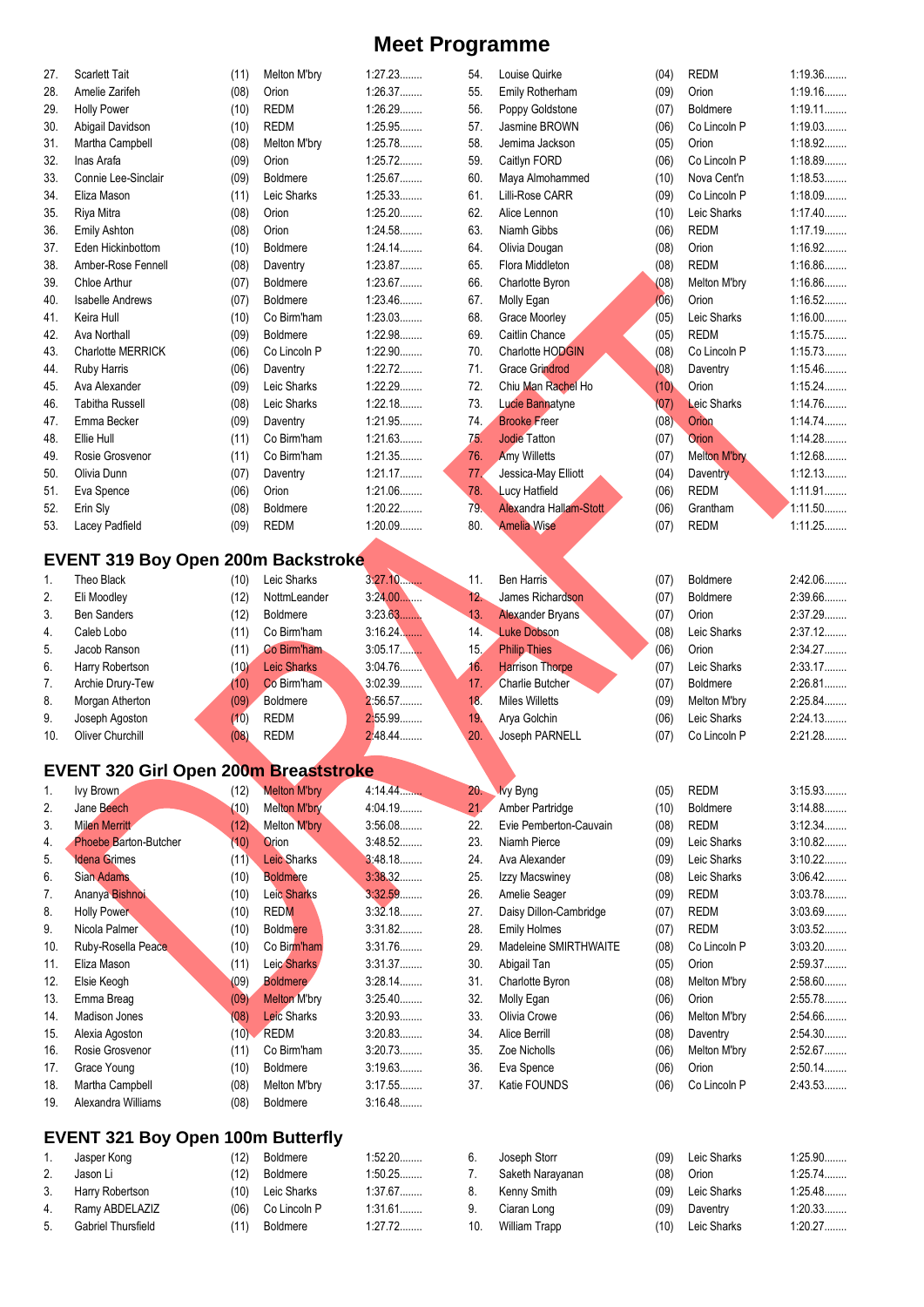| 27. | <b>Scarlett Tait</b>                         | (11) | Melton M'bry        | 1:27.23   | 54.    | Louise Quirke          | (04) | REDM                | 1:19.36   |
|-----|----------------------------------------------|------|---------------------|-----------|--------|------------------------|------|---------------------|-----------|
| 28. | Amelie Zarifeh                               | (08) | Orion               | 1:26.37   | 55.    | Emily Rotherham        | (09) | Orion               | 1:19.16   |
| 29. | <b>Holly Power</b>                           | (10) | <b>REDM</b>         | 1:26.29   | 56.    | Poppy Goldstone        | (07) | <b>Boldmere</b>     | $1:19.11$ |
| 30. | Abigail Davidson                             | (10) | <b>REDM</b>         | 1:25.95   | 57.    | Jasmine BROWN          | (06) | Co Lincoln P        | 1:19.03   |
| 31. | Martha Campbell                              | (08) | Melton M'bry        | 1:25.78   | 58.    | Jemima Jackson         | (05) | Orion               | 1:18.92   |
| 32. | Inas Arafa                                   | (09) | Orion               | 1:25.72   | 59.    | Caitlyn FORD           | (06) | Co Lincoln P        | 1:18.89   |
| 33. | Connie Lee-Sinclair                          | (09) | <b>Boldmere</b>     | 1:25.67   | 60.    | Maya Almohammed        | (10) | Nova Cent'n         | 1:18.53   |
| 34. | Eliza Mason                                  | (11) | Leic Sharks         | 1:25.33   | 61.    | Lilli-Rose CARR        | (09) | Co Lincoln P        | 1:18.09   |
| 35. | Riya Mitra                                   | (08) | Orion               | 1:25.20   | 62.    | Alice Lennon           | (10) | Leic Sharks         | 1:17.40   |
| 36. | <b>Emily Ashton</b>                          | (08) | Orion               | 1:24.58   | 63.    | Niamh Gibbs            | (06) | <b>REDM</b>         | 1:17.19   |
| 37. | Eden Hickinbottom                            | (10) | Boldmere            | 1:24.14   | 64.    | Olivia Dougan          | (08) | Orion               | 1:16.92   |
| 38. | Amber-Rose Fennell                           | (08) | Daventry            | 1:23.87   | 65.    | Flora Middleton        | (08) | <b>REDM</b>         | 1:16.86   |
| 39. | Chloe Arthur                                 | (07) | Boldmere            | 1:23.67   | 66.    | Charlotte Byron        | (08) | Melton M'bry        | 1:16.86   |
| 40. | <b>Isabelle Andrews</b>                      | (07) | <b>Boldmere</b>     | 1:23.46   | 67.    | Molly Egan             | (06) | Orion               | 1:16.52   |
| 41. | Keira Hull                                   | (10) | Co Birm'ham         | 1:23.03   | 68.    | Grace Moorley          | (05) | Leic Sharks         | $1:16.00$ |
| 42. | Ava Northall                                 | (09) | <b>Boldmere</b>     | 1:22.98   | 69.    | Caitlin Chance         | (05) | <b>REDM</b>         | 1:15.75   |
| 43. | Charlotte MERRICK                            | (06) | Co Lincoln P        | 1:22.90   | 70.    | Charlotte HODGIN       | (08) | Co Lincoln P        | 1:15.73   |
| 44. | <b>Ruby Harris</b>                           | (06) | Daventry            | 1:22.72   | 71.    | <b>Grace Grindrod</b>  | (08) | Daventry            | 1:15.46   |
| 45. | Ava Alexander                                | (09) | Leic Sharks         | 1:22.29   | 72.    | Chiu Man Rachel Ho     | (10) | Orion               | 1:15.24   |
| 46. | <b>Tabitha Russell</b>                       | (08) | Leic Sharks         | 1:22.18   | 73.    | Lucie Bannatyne        | (07) | Leic Sharks         | 1:14.76   |
| 47. | Emma Becker                                  | (09) | Daventry            | 1:21.95   | 74.    | <b>Brooke Freer</b>    | (08) | Orion               | 1:14.74   |
| 48. | Ellie Hull                                   | (11) | Co Birm'ham         | 1:21.63   | 75.    | <b>Jodie Tatton</b>    | (07) | Orion               | 1:14.28   |
| 49. | Rosie Grosvenor                              | (11) | Co Birm'ham         | 1:21.35   | 76.    | <b>Amy Willetts</b>    | (07) | <b>Melton M'bry</b> | 1:12.68   |
| 50. | Olivia Dunn                                  | (07) | Daventry            | 1:21.17   | 77.    | Jessica-May Elliott    | (04) | Daventry            | 1:12.13   |
| 51. | Eva Spence                                   | (06) | Orion               | 1:21.06   | 78.    | <b>Lucy Hatfield</b>   | (06) | <b>REDM</b>         | 1:11.91   |
| 52. | Erin Sly                                     | (08) | <b>Boldmere</b>     | $1:20.22$ | 79.    | Alexandra Hallam-Stott | (06) | Grantham            | 1:11.50   |
| 53. | Lacey Padfield                               | (09) | <b>REDM</b>         | 1:20.09   | 80.    | <b>Amelia Wise</b>     | (07) | <b>REDM</b>         | 1:11.25   |
|     |                                              |      |                     |           |        |                        |      |                     |           |
|     | <b>EVENT 319 Boy Open 200m Backstroke</b>    |      |                     |           |        |                        |      |                     |           |
| 1.  | Theo Black                                   | (10) | Leic Sharks         | 3:27.10   | 11.    | <b>Ben Harris</b>      | (07) | <b>Boldmere</b>     | 2:42.06   |
| 2.  | Eli Moodley                                  | (12) | NottmLeander        | 3:24.00   | 12.    | James Richardson       | (07) | <b>Boldmere</b>     | 2:39.66   |
| 3.  | <b>Ben Sanders</b>                           | (12) | <b>Boldmere</b>     | 3:23.63   | 13.    | Alexander Bryans       | (07) | Orion               | 2:37.29   |
| 4.  | Caleb Lobo                                   | (11) | Co Birm'ham         | $3:16.24$ | 14.    | <b>Luke Dobson</b>     | (08) | Leic Sharks         | 2:37.12   |
| 5.  | Jacob Ranson                                 | (11) | Co Birm'ham         | 3.05.17   | 15.    | <b>Philip Thies</b>    | (06) | Orion               | 2:34.27   |
| 6.  | Harry Robertson                              | (10) | <b>Leic Sharks</b>  | 3.04.76   | 16.    | <b>Harrison Thorpe</b> | (07) | Leic Sharks         | 2:33.17   |
| 7.  | Archie Drury-Tew                             | (10) | Co Birm'ham         | 3:02.39   | 17.    | Charlie Butcher        | (07) | <b>Boldmere</b>     | 2:26.81   |
| 8.  | Morgan Atherton                              | (09) | Boldmere            | 2:56.57   | 18.    | <b>Miles Willetts</b>  | (09) | Melton M'bry        | 2:25.84   |
| 9.  | Joseph Agoston                               | (10) | <b>REDM</b>         | 2:55.99   | 19.    | Arya Golchin           | (06) | Leic Sharks         | 2:24.13   |
| 10. | Oliver Churchill                             | (08) | <b>REDM</b>         | 2.48.44   | 20.    | Joseph PARNELL         | (07) | Co Lincoln P        | 2:21.28   |
|     |                                              |      |                     |           |        |                        |      |                     |           |
|     | <b>EVENT 320 Girl Open 200m Breaststroke</b> |      |                     |           |        |                        |      |                     |           |
| 1.  | Ivy Brown                                    | (12) | <b>Melton M'bry</b> | 4:14.44   | $20 -$ | <b>Ivy Byng</b>        | (05) | <b>REDM</b>         | 3:15.93   |
| 2.  | Jane Beech                                   | (10) | <b>Melton M'bry</b> | 4:04.19   | 21.    | Amber Partridge        | (10) | Boldmere            | 3:14.88   |
| 3.  | <b>Milen Merritt</b>                         | (12) | Melton M'bry        | 3:56.08   | 22.    | Evie Pemberton-Cauvain | (08) | <b>REDM</b>         | 3:12.34   |
| 4.  | Phoebe Barton-Butcher                        | (10) | Orion               | 3:48.52   | 23.    | Niamh Pierce           | (09) | Leic Sharks         | 3:10.82   |
| 5.  | <b>Idena Grimes</b>                          | (11) | <b>Leic Sharks</b>  | 3:48.18   | 24.    | Ava Alexander          | (09) | Leic Sharks         | $3:10.22$ |
| 6.  | Sian Adams                                   | (10) | <b>Boldmere</b>     | 3:38.32   | 25.    | Izzy Macswiney         | (08) | Leic Sharks         | 3:06.42   |
| 7.  | Ananya Bishnoi                               | (10) | Leic Sharks         | 3:32.59   | 26.    | Amelie Seager          | (09) | <b>REDM</b>         | 3:03.78   |
| 8.  | <b>Holly Power</b>                           | (10) | <b>REDM</b>         | 3:32.18   | 27.    | Daisy Dillon-Cambridge | (07) | <b>REDM</b>         | 3:03.69   |
| 9.  | Nicola Palmer                                | (10) | <b>Boldmere</b>     | 3:31.82   | 28.    | <b>Emily Holmes</b>    | (07) | <b>REDM</b>         | 3:03.52   |
| 10. | Ruby-Rosella Peace                           | (10) | Co Birm'ham         | 3:31.76   | 29.    | Madeleine SMIRTHWAITE  | (08) | Co Lincoln P        | 3:03.20   |
| 11. | Eliza Mason                                  | (11) | Leic Sharks         | 3:31.37   | 30.    | Abigail Tan            | (05) | Orion               | 2:59.37   |
| 12. | Elsie Keogh                                  | (09) | <b>Boldmere</b>     | 3:28.14   | 31.    | Charlotte Byron        | (08) | Melton M'bry        | 2:58.60   |
| 13. | Emma Breag                                   | (09) | <b>Melton M'bry</b> | $3:25.40$ | 32.    | Molly Egan             | (06) | Orion               | 2:55.78   |
| 14. | Madison Jones                                | (08) | Leic Sharks         | 3:20.93   | 33.    | Olivia Crowe           | (06) | Melton M'bry        | 2:54.66   |
| 15. | Alexia Agoston                               |      | $(10)$ REDM         | 3:20.83   | 34.    | Alice Berrill          | (08) | Daventry            | 2:54.30   |
| 16. | Rosie Grosvenor                              | (11) | Co Birm'ham         | 3:20.73   | 35.    | Zoe Nicholls           | (06) | Melton M'bry        | 2:52.67   |
| 17. | Grace Young                                  | (10) | <b>Boldmere</b>     | 3:19.63   | 36.    | Eva Spence             | (06) | Orion               | 2:50.14   |
| 18. | Martha Campbell                              | (08) | Melton M'bry        | 3:17.55   | 37.    | Katie FOUNDS           | (06) | Co Lincoln P        | 2:43.53.  |
| 19. | Alexandra Williams                           | (08) | Boldmere            | 3:16.48   |        |                        |      |                     |           |
|     |                                              |      |                     |           |        |                        |      |                     |           |
|     | <b>EVENT 321 Boy Open 100m Butterfly</b>     |      |                     |           |        |                        |      |                     |           |
| 1.  | Jasper Kong                                  | (12) | Boldmere            | 1:52.20   | 6.     | Joseph Storr           | (09) | Leic Sharks         | 1:25.90   |
| 2.  | Jason Li                                     | (12) | Boldmere            | 1:50.25   | 7.     | Saketh Narayanan       | (08) | Orion               | 1:25.74   |
| 3.  | Harry Robertson                              | (10) | Leic Sharks         | 1:37.67   | 8.     | Kenny Smith            | (09) | Leic Sharks         | 1:25.48   |

9. Ciaran Long (09) Daventry 1:20.33........ 10. William Trapp (10) Leic Sharks 1:20.27........

4. Ramy ABDELAZIZ (06) Co Lincoln P 5. Gabriel Thursfield (11) Boldmere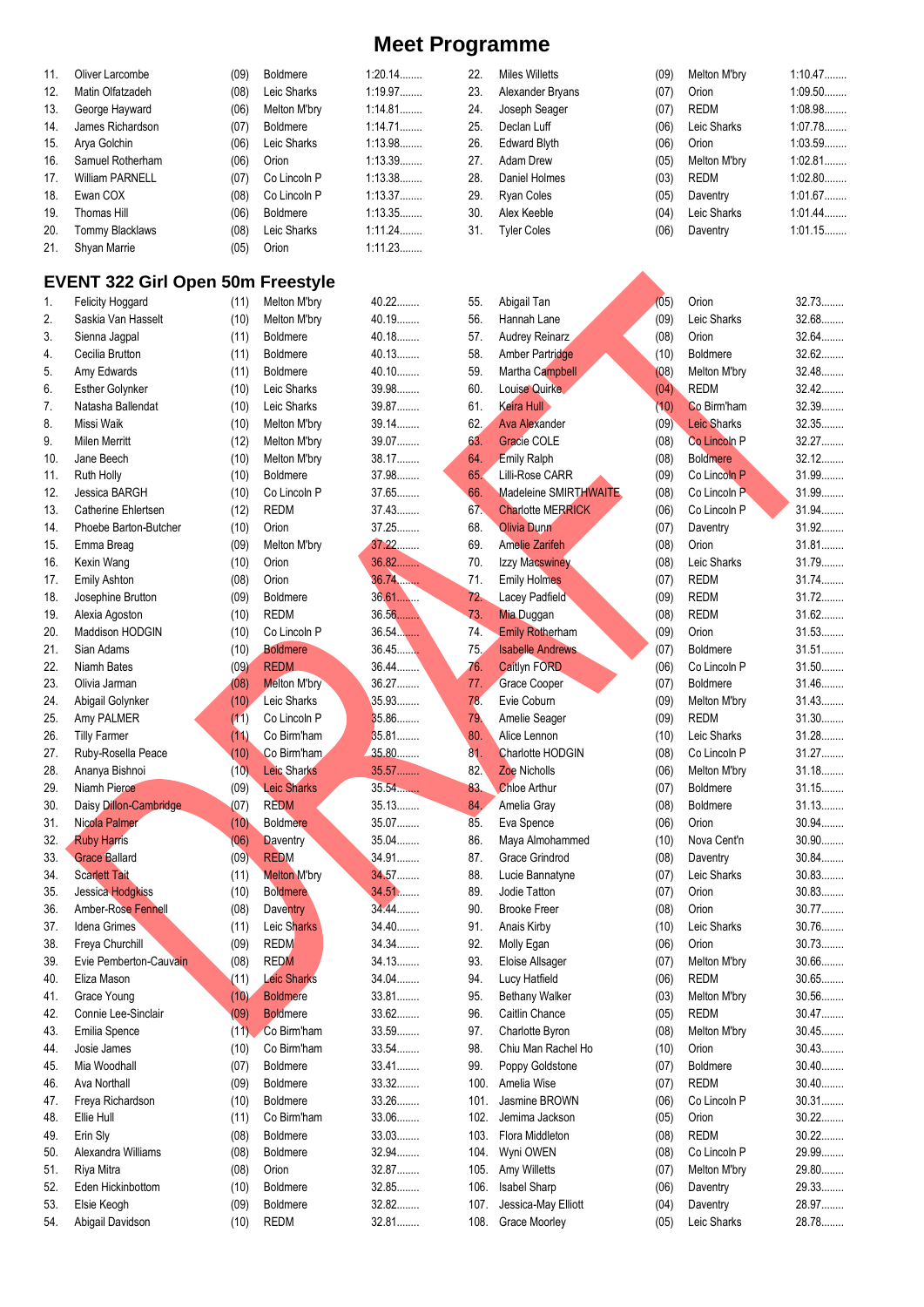| 11. | Oliver Larcombe                          | (09) | <b>Boldmere</b>     | $1:20.14$ | 22.  | <b>Miles Willetts</b>    | (09) | Melton M'bry       | 1:10.47   |
|-----|------------------------------------------|------|---------------------|-----------|------|--------------------------|------|--------------------|-----------|
| 12. | Matin Olfatzadeh                         | (08) | Leic Sharks         | 1:19.97   | 23.  | Alexander Bryans         | (07) | Orion              | 1:09.50   |
| 13. | George Hayward                           | (06) | Melton M'bry        | 1:14.81   | 24.  | Joseph Seager            | (07) | <b>REDM</b>        | 1:08.98   |
| 14. | James Richardson                         | (07) | Boldmere            | 1:14.71   | 25.  | Declan Luff              | (06) | Leic Sharks        | 1:07.78   |
| 15. | Arya Golchin                             | (06) | Leic Sharks         | 1:13.98   | 26.  | <b>Edward Blyth</b>      | (06) | Orion              | 1:03.59   |
| 16. | Samuel Rotherham                         | (06) | Orion               | 1:13.39   | 27.  | Adam Drew                |      | Melton M'bry       | 1:02.81   |
|     |                                          |      |                     |           |      |                          | (05) |                    |           |
| 17. | <b>William PARNELL</b>                   | (07) | Co Lincoln P        | 1:13.38   | 28.  | Daniel Holmes            | (03) | REDM               | 1:02.80   |
| 18. | Ewan COX                                 | (08) | Co Lincoln P        | 1:13.37   | 29.  | Ryan Coles               | (05) | Daventry           | 1:01.67   |
| 19. | <b>Thomas Hill</b>                       | (06) | <b>Boldmere</b>     | 1:13.35   | 30.  | Alex Keeble              | (04) | Leic Sharks        | $1:01.44$ |
| 20. | Tommy Blacklaws                          | (08) | Leic Sharks         | 1:11.24   | 31.  | <b>Tyler Coles</b>       | (06) | Daventry           | 1:01.15   |
| 21. | Shyan Marrie                             | (05) | Orion               | 1:11.23   |      |                          |      |                    |           |
|     |                                          |      |                     |           |      |                          |      |                    |           |
|     | <b>EVENT 322 Girl Open 50m Freestyle</b> |      |                     |           |      |                          |      |                    |           |
| 1.  | Felicity Hoggard                         | (11) | Melton M'bry        | 40.22     | 55.  | Abigail Tan              | (05) | Orion              | 32.73     |
| 2.  | Saskia Van Hasselt                       | (10) | Melton M'bry        | 40.19     | 56.  | Hannah Lane              | (09) | Leic Sharks        | 32.68     |
| 3.  | Sienna Jagpal                            | (11) | <b>Boldmere</b>     | 40.18.    | 57.  | Audrey Reinarz           | (08) | Orion              | 32.64     |
| 4.  | Cecilia Brutton                          | (11) | <b>Boldmere</b>     | 40.13     | 58.  | Amber Partridge          | (10) | Boldmere           | 32.62     |
| 5.  | Amy Edwards                              | (11) | <b>Boldmere</b>     | 40.10     | 59.  | Martha Campbell          | (08) | Melton M'bry       | 32.48     |
| 6.  | <b>Esther Golynker</b>                   | (10) | Leic Sharks         | 39.98     | 60.  | Louise Quirke            | (04) | <b>REDM</b>        | 32.42     |
| 7.  | Natasha Ballendat                        | (10) | Leic Sharks         | 39.87     | 61.  | Keira Hull               | (10) | Co Birm'ham        | 32.39     |
| 8.  | Missi Waik                               | (10) | Melton M'bry        | 39.14.    | 62.  | <b>Ava Alexander</b>     | (09) | <b>Leic Sharks</b> | 32.35     |
|     |                                          |      |                     | 39.07     |      | <b>Gracie COLE</b>       |      |                    | 32.27     |
| 9.  | <b>Milen Merritt</b>                     | (12) | Melton M'bry        |           | 63.  |                          | (08) | Co Lincoln P       |           |
| 10. | Jane Beech                               | (10) | Melton M'bry        | 38.17     | 64.  | <b>Emily Ralph</b>       | (08) | <b>Boldmere</b>    | 32.12     |
| 11. | Ruth Holly                               | (10) | <b>Boldmere</b>     | 37.98     | 65.  | Lilli-Rose CARR          | (09) | Co Lincoln P       | 31.99     |
| 12. | Jessica BARGH                            | (10) | Co Lincoln P        | 37.65     | 66.  | Madeleine SMIRTHWAITE    | (08) | Co Lincoln P       | 31.99     |
| 13. | Catherine Ehlertsen                      | (12) | <b>REDM</b>         | 37.43     | 67.  | <b>Charlotte MERRICK</b> | (06) | Co Lincoln P       | 31.94     |
| 14. | Phoebe Barton-Butcher                    | (10) | Orion               | 37.25     | 68.  | <b>Olivia Dunn</b>       | (07) | Daventry           | 31.92     |
| 15. | Emma Breag                               | (09) | Melton M'bry        | $37.22$   | 69.  | <b>Amelie Zarifeh</b>    | (08) | Orion              | 31.81     |
| 16. | Kexin Wang                               | (10) | Orion               | 36.82     | 70.  | <b>Izzy Macswiney</b>    | (08) | Leic Sharks        | 31.79     |
| 17. | <b>Emily Ashton</b>                      | (08) | Orion               | 36.74     | 71.  | <b>Emily Holmes</b>      | (07) | <b>REDM</b>        | 31.74     |
| 18. | Josephine Brutton                        | (09) | <b>Boldmere</b>     | $36.61$   | 72.  | Lacey Padfield           | (09) | <b>REDM</b>        | 31.72     |
| 19. | Alexia Agoston                           | (10) | <b>REDM</b>         | 36.56     | 73.  | <b>Mia Duggan</b>        | (08) | <b>REDM</b>        | $31.62$   |
|     |                                          |      |                     |           |      |                          |      |                    |           |
| 20. | Maddison HODGIN                          | (10) | Co Lincoln P        | 36.54     | 74.  | <b>Emily Rotherham</b>   | (09) | Orion              | 31.53     |
| 21. | Sian Adams                               | (10) | <b>Boldmere</b>     | 36.45     | 75.  | <b>Isabelle Andrews</b>  | (07) | <b>Boldmere</b>    | $31.51$   |
| 22. | Niamh Bates                              | (09) | <b>REDM</b>         | $36.44$   | 76.  | <b>Caitlyn FORD</b>      | (06) | Co Lincoln P       | $31.50$   |
| 23. | Olivia Jarman                            | (08) | <b>Melton M'bry</b> | 36.27     | 77.  | Grace Cooper             | (07) | Boldmere           | 31.46     |
| 24. | Abigail Golynker                         | (10) | Leic Sharks         | 35.93     | 78.  | Evie Coburn              | (09) | Melton M'bry       | 31.43     |
| 25. | Amy PALMER                               | (11) | Co Lincoln P        | 35.86     | 79.  | Amelie Seager            | (09) | <b>REDM</b>        | $31.30$   |
| 26. | <b>Tilly Farmer</b>                      | (11) | Co Birm'ham         | 35.81     | 80.  | Alice Lennon             | (10) | Leic Sharks        | 31.28     |
| 27. | Ruby-Rosella Peace                       | (10) | Co Birm'ham         | 35.80.    | 81.  | <b>Charlotte HODGIN</b>  | (08) | Co Lincoln P       | 31.27     |
| 28. | Ananya Bishnoi                           | (10) | <b>Leic Sharks</b>  | 35.57     | 82.  | Zoe Nicholls             | (06) | Melton M'bry       | 31.18     |
| 29. | Niamh Pierce                             | (09) | <b>Leic Sharks</b>  | 35.54     | 83.  | <b>Chloe Arthur</b>      | (07) | <b>Boldmere</b>    | $31.15$   |
| 30. | Daisy Dillon-Cambridge                   | (07) | <b>REDM</b>         | 35.13     | 84.  | Amelia Gray              | (08) | Boldmere           | 31.13     |
| 31. | Nicola Palmer                            | (10) | Boldmere            | 35.07     | 85.  | Eva Spence               | (06) | Orion              | 30.94     |
|     |                                          |      | <b>Daventry</b>     | 35.04     | 86.  |                          |      |                    | $30.90$   |
| 32. | <b>Ruby Harris</b>                       | (06) |                     |           |      | Maya Almohammed          | (10) | Nova Cent'n        |           |
| 33. | <b>Grace Ballard</b>                     | (09) | <b>REDM</b>         | 34.91     | 87.  | Grace Grindrod           | (08) | Daventry           | 30.84     |
| 34. | <b>Scarlett Tait</b>                     | (11) | <b>Melton M'bry</b> | 34.57     | 88.  | Lucie Bannatyne          | (07) | Leic Sharks        | 30.83     |
| 35. | Jessica Hodgkiss                         | (10) | <b>Boldmere</b>     | 34.51     | 89.  | Jodie Tatton             | (07) | Orion              | 30.83     |
| 36. | Amber-Rose Fennell                       | (08) | Daventry            | 34.44.    | 90.  | <b>Brooke Freer</b>      | (08) | Orion              | $30.77$   |
| 37. | Idena Grimes                             | (11) | Leic Sharks         | 34.40     | 91.  | Anais Kirby              | (10) | Leic Sharks        | 30.76     |
| 38. | Freya Churchill                          | (09) | <b>REDM</b>         | 34.34     | 92.  | Molly Egan               | (06) | Orion              | 30.73     |
| 39. | Evie Pemberton-Cauvain                   | (08) | <b>REDM</b>         | 34.13.    | 93.  | Eloise Allsager          | (07) | Melton M'bry       | 30.66     |
| 40. | Eliza Mason                              | (11) | <b>Leic Sharks</b>  | 34.04     | 94.  | Lucy Hatfield            | (06) | REDM               | 30.65     |
| 41. | Grace Young                              | (10) | <b>Boldmere</b>     | 33.81     | 95.  | Bethany Walker           | (03) | Melton M'bry       | $30.56$   |
| 42. | Connie Lee-Sinclair                      | (09) | <b>Boldmere</b>     | 33.62     | 96.  | Caitlin Chance           | (05) | <b>REDM</b>        | 30.47     |
|     |                                          |      |                     | 33.59     |      |                          |      |                    |           |
| 43. | Emilia Spence                            | (11) | Co Birm'ham         |           | 97.  | Charlotte Byron          | (08) | Melton M'bry       | $30.45$   |
| 44. | Josie James                              | (10) | Co Birm'ham         | 33.54     | 98.  | Chiu Man Rachel Ho       | (10) | Orion              | 30.43     |
| 45. | Mia Woodhall                             | (07) | <b>Boldmere</b>     | 33.41     | 99.  | Poppy Goldstone          | (07) | <b>Boldmere</b>    | $30.40$   |
| 46. | Ava Northall                             | (09) | <b>Boldmere</b>     | 33.32     | 100. | Amelia Wise              | (07) | <b>REDM</b>        | $30.40$   |
| 47. | Freya Richardson                         | (10) | <b>Boldmere</b>     | 33.26     | 101. | Jasmine BROWN            | (06) | Co Lincoln P       | $30.31$   |
| 48. | Ellie Hull                               | (11) | Co Birm'ham         | 33.06     | 102. | Jemima Jackson           | (05) | Orion              | $30.22$   |
| 49. | Erin Sly                                 | (08) | <b>Boldmere</b>     | 33.03     | 103. | Flora Middleton          | (08) | <b>REDM</b>        | 30.22     |
| 50. | Alexandra Williams                       | (08) | Boldmere            | 32.94     | 104. | Wyni OWEN                | (08) | Co Lincoln P       | 29.99     |
| 51. | Riya Mitra                               | (08) | Orion               | 32.87     | 105. | Amy Willetts             | (07) | Melton M'bry       | 29.80     |
| 52. | Eden Hickinbottom                        | (10) | Boldmere            | 32.85     | 106. | Isabel Sharp             | (06) | Daventry           | 29.33     |
| 53. | Elsie Keogh                              | (09) | <b>Boldmere</b>     | 32.82     | 107. | Jessica-May Elliott      | (04) | Daventry           | 28.97     |
|     |                                          |      |                     | 32.81     |      | Grace Moorley            |      |                    | 28.78     |
| 54. | Abigail Davidson                         | (10) | <b>REDM</b>         |           | 108. |                          | (05) | Leic Sharks        |           |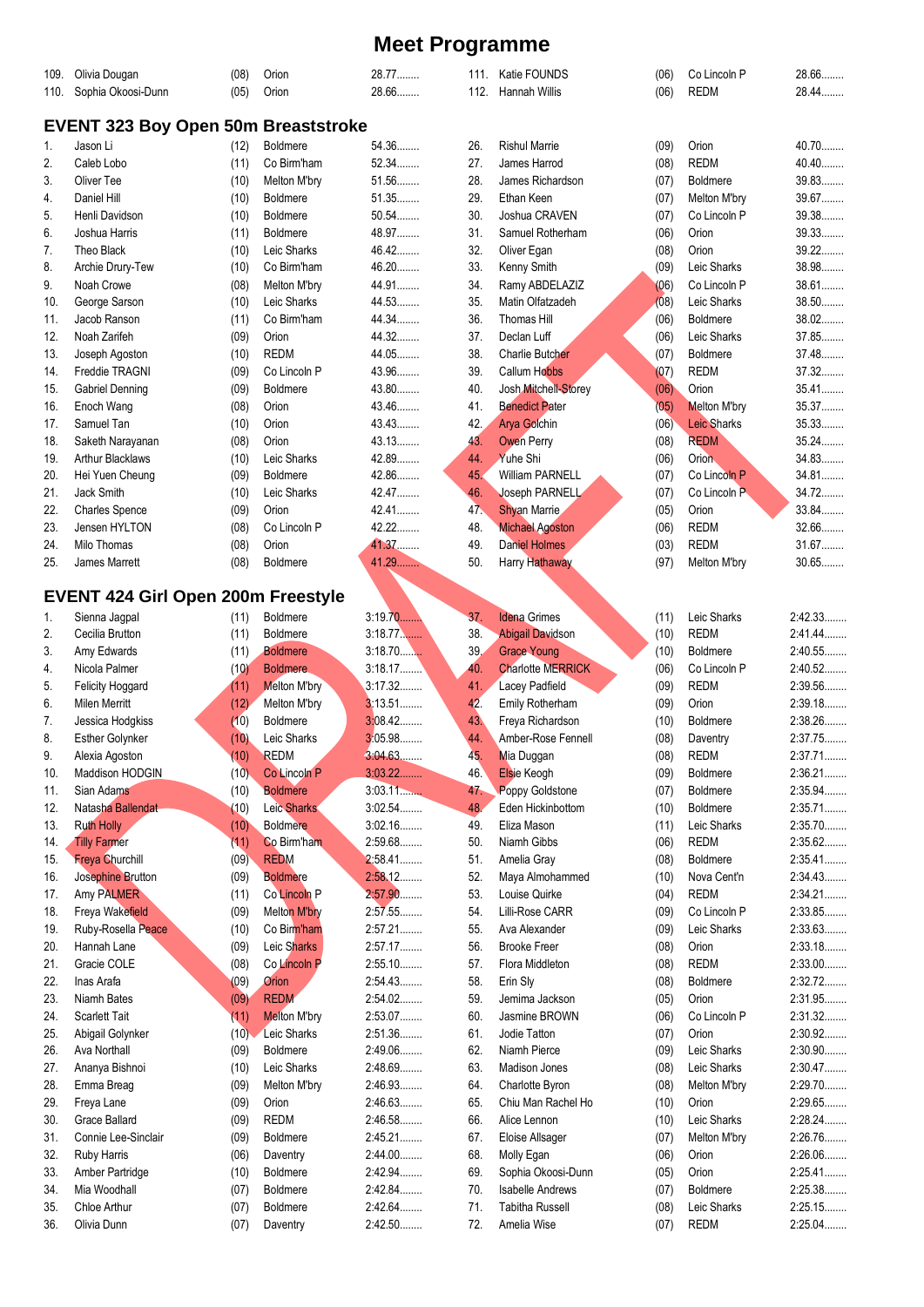| 109.       | Olivia Dougan                              | (08)         | Orion                           | 28.77              |            | 111. Katie FOUNDS                             | (06)         | Co Lincoln P                   | 28.66              |  |
|------------|--------------------------------------------|--------------|---------------------------------|--------------------|------------|-----------------------------------------------|--------------|--------------------------------|--------------------|--|
| 110.       | Sophia Okoosi-Dunn                         | (05)         | Orion                           | 28.66              | 112.       | Hannah Willis                                 | (06)         | <b>REDM</b>                    | 28.44              |  |
|            | <b>EVENT 323 Boy Open 50m Breaststroke</b> |              |                                 |                    |            |                                               |              |                                |                    |  |
| 1.         | Jason Li                                   | (12)         | <b>Boldmere</b>                 | 54.36              | 26.        | <b>Rishul Marrie</b>                          | (09)         | Orion                          | 40.70              |  |
| 2.         | Caleb Lobo                                 | (11)         | Co Birm'ham                     | 52.34              | 27.        | James Harrod                                  | (08)         | <b>REDM</b>                    | 40.40              |  |
| 3.         | Oliver Tee                                 | (10)         | Melton M'bry                    | 51.56              | 28.        | James Richardson                              | (07)         | <b>Boldmere</b>                | 39.83              |  |
| 4.         | Daniel Hill                                | (10)         | <b>Boldmere</b>                 | 51.35              | 29.        | Ethan Keen                                    | (07)         | Melton M'bry                   | 39.67              |  |
| 5.         | Henli Davidson                             | (10)         | <b>Boldmere</b>                 | 50.54              | 30.        | Joshua CRAVEN                                 | (07)         | Co Lincoln P                   | 39.38              |  |
| 6.         | Joshua Harris                              | (11)         | <b>Boldmere</b>                 | 48.97              | 31.        | Samuel Rotherham                              | (06)         | Orion                          | 39.33              |  |
| 7.         | Theo Black                                 | (10)         | Leic Sharks                     | 46.42              | 32.        | Oliver Egan                                   | (08)         | Orion                          | 39.22              |  |
| 8.         | Archie Drury-Tew                           | (10)         | Co Birm'ham                     | 46.20              | 33.        | Kenny Smith                                   | (09)         | Leic Sharks                    | 38.98              |  |
| 9.         | Noah Crowe                                 | (08)         | Melton M'bry                    | 44.91              | 34.        | Ramy ABDELAZIZ                                | (06)         | Co Lincoln P                   | 38.61              |  |
| 10.        | George Sarson                              | (10)         | Leic Sharks                     | 44.53<br>44.34     | 35.        | Matin Olfatzadeh                              | (08)         | Leic Sharks                    | 38.50<br>$38.02$   |  |
| 11.        | Jacob Ranson<br>Noah Zarifeh               | (11)         | Co Birm'ham<br>Orion            | 44.32              | 36.<br>37. | Thomas Hill                                   | (06)         | <b>Boldmere</b><br>Leic Sharks | 37.85              |  |
| 12.        |                                            | (09)         | <b>REDM</b>                     | 44.05              | 38.        | Declan Luff<br><b>Charlie Butcher</b>         | (06)         | Boldmere                       | 37.48              |  |
| 13.<br>14. | Joseph Agoston<br>Freddie TRAGNI           | (10)<br>(09) | Co Lincoln P                    | 43.96              | 39.        | <b>Callum Hobbs</b>                           | (07)         | <b>REDM</b>                    | 37.32              |  |
| 15.        | <b>Gabriel Denning</b>                     | (09)         | <b>Boldmere</b>                 | 43.80              | 40.        | Josh Mitchell-Storey                          | (07)<br>(06) | Orion                          | $35.41$            |  |
| 16.        | Enoch Wang                                 | (08)         | Orion                           | 43.46              | 41.        | <b>Benedict Pater</b>                         | (05)         | <b>Melton M'bry</b>            | 35.37              |  |
| 17.        | Samuel Tan                                 | (10)         | Orion                           | 43.43              | 42.        | <b>Arya Golchin</b>                           | (06)         | <b>Leic Sharks</b>             | 35.33              |  |
| 18.        | Saketh Narayanan                           | (08)         | Orion                           | 43.13              | 43.        | <b>Owen Perry</b>                             | (08)         | <b>REDM</b>                    | 35.24              |  |
| 19.        | <b>Arthur Blacklaws</b>                    | (10)         | Leic Sharks                     | 42.89              | 44.        | Yuhe Shi                                      | (06)         | Orion <sub>,</sub>             | 34.83              |  |
| 20.        | Hei Yuen Cheung                            | (09)         | <b>Boldmere</b>                 | 42.86              | 45.        | <b>William PARNELL</b>                        | (07)         | Co Lincoln P                   | 34.81              |  |
| 21.        | Jack Smith                                 | (10)         | Leic Sharks                     | 42.47              | 46.        | Joseph PARNELL                                | (07)         | Co Lincoln P                   | 34.72              |  |
| 22.        | <b>Charles Spence</b>                      | (09)         | Orion                           | 42.41              | 47.        | <b>Shyan Marrie</b>                           | (05)         | Orion                          | 33.84              |  |
| 23.        | Jensen HYLTON                              | (08)         | Co Lincoln P                    | $42.22$            | 48.        | <b>Michael Agoston</b>                        | (06)         | <b>REDM</b>                    | 32.66              |  |
| 24.        | Milo Thomas                                | (08)         | Orion                           | 41.37              | 49.        | <b>Daniel Holmes</b>                          | (03)         | <b>REDM</b>                    | 31.67              |  |
| 25.        | James Marrett                              | (08)         | <b>Boldmere</b>                 | 41.29              | 50.        | Harry Hathaway                                | (97)         | Melton M'bry                   | $30.65$            |  |
|            |                                            |              |                                 |                    |            |                                               |              |                                |                    |  |
|            | <b>EVENT 424 Girl Open 200m Freestyle</b>  |              |                                 |                    |            |                                               |              |                                |                    |  |
| 1.         | Sienna Jagpal                              | (11)         | <b>Boldmere</b>                 | 3:19.70            | 37.        | <b>Idena</b> Grimes                           | (11)         | Leic Sharks                    | 2:42.33            |  |
| 2.         | Cecilia Brutton                            | (11)         | Boldmere                        | $3:18.77$          | 38.        | <b>Abigail Davidson</b>                       | (10)         | <b>REDM</b>                    | 2:41.44            |  |
| 3.         | Amy Edwards                                | (11)         | <b>Boldmere</b>                 | 3:18.70            | 39.<br>40. | <b>Grace Young</b>                            | (10)         | <b>Boldmere</b>                | 2:40.55            |  |
| 4.         | Nicola Palmer                              | (10)         | <b>Boldmere</b>                 | 3:18.17<br>3:17.32 | 41.        | <b>Charlotte MERRICK</b>                      | (06)         | Co Lincoln P<br><b>REDM</b>    | 2:40.52<br>2:39.56 |  |
| 5.         | Felicity Hoggard                           | (11)         | Melton M'bry                    | 3:13.51            |            | Lacey Padfield                                | (09)         | Orion                          | 2:39.18            |  |
| 6.<br>7.   | <b>Milen Merritt</b><br>Jessica Hodgkiss   | (12)<br>(10) | Melton M'bry<br><b>Boldmere</b> | 3:08.42            | 42.<br>43. | Emily Rotherham<br>Freya Richardson           | (09)<br>(10) | Boldmere                       | 2:38.26            |  |
| 8.         | <b>Esther Golynker</b>                     | (10)         | Leic Sharks                     | 3:05.98            | 44.        | Amber-Rose Fennell                            | (08)         | Daventry                       | 2:37.75            |  |
| 9.         | Alexia Agoston                             | (10)         | <b>REDM</b>                     | 3:04.63.           | 45.        | Mia Duggan                                    | (08)         | <b>REDM</b>                    | 2:37.71            |  |
| 10.        | Maddison HODGIN                            | (10)         | Co Lincoln P                    | 3:03.22            | 46.        | <b>Elsie Keogh</b>                            | (09)         | Boldmere                       | 2:36.21            |  |
| 11.        | Sian Adams                                 | (10)         | <b>Boldmere</b>                 | 3.03.11            | 47.        | Poppy Goldstone                               | (07)         | Boldmere                       | 2:35.94            |  |
| 12.        | Natasha Ballendat                          | (10)         | Leic Sharks                     | 3:02.54            | 48.        | Eden Hickinbottom                             | (10)         | Boldmere                       | 2:35.71            |  |
| 13.        | <b>Ruth Holly</b>                          | (10)         | <b>Boldmere</b>                 | 3:02.16            | 49.        | Eliza Mason                                   | (11)         | Leic Sharks                    | 2:35.70            |  |
| 14.        | <b>Tilly Farmer</b>                        | (11)         | Co Birm'ham                     | 2:59.68            | 50.        | Niamh Gibbs                                   | (06)         | <b>REDM</b>                    | 2:35.62            |  |
| 15.        | <b>Freya Churchill</b>                     | (09)         | <b>REDM</b>                     | 2:58.41            | 51.        | Amelia Gray                                   | (08)         | <b>Boldmere</b>                | 2:35.41            |  |
| 16.        | Josephine Brutton                          | (09)         | <b>Boldmere</b>                 | 2:58.12            | 52.        | Maya Almohammed                               | (10)         | Nova Cent'n                    | 2:34.43            |  |
| 17.        | Amy PALMER                                 | (11)         | Co Lincoln P                    | 2:57.90            | 53.        | Louise Quirke                                 | (04)         | <b>REDM</b>                    | 2:34.21            |  |
| 18.        | Freya Wakefield                            | (09)         | <b>Melton M'bry</b>             | 2:57.55            | 54.        | Lilli-Rose CARR                               | (09)         | Co Lincoln P                   | 2:33.85            |  |
| 19.        | Ruby-Rosella Peace                         | (10)         | Co Birm'ham                     | $2:57.21$          | 55.        | Ava Alexander                                 | (09)         | Leic Sharks                    | 2:33.63            |  |
| 20.        | Hannah Lane                                | (09)         | Leic Sharks                     | 2:57.17            | 56.        | <b>Brooke Freer</b>                           | (08)         | Orion                          | 2:33.18            |  |
| 21.        | Gracie COLE                                | (08)         | Co Lincoln P                    | 2:55.10            | 57.        | Flora Middleton                               | (08)         | <b>REDM</b>                    | 2:33.00            |  |
| 22.        | Inas Arafa                                 | (09)         | Orion                           | 2:54.43            | 58.        | Erin Sly                                      | (08)         | <b>Boldmere</b>                | 2:32.72            |  |
| 23.        | Niamh Bates                                | (09)         | <b>REDM</b>                     | 2:54.02            | 59.        | Jemima Jackson                                | (05)         | Orion                          | 2:31.95            |  |
| 24.        | <b>Scarlett Tait</b>                       | (11)         | <b>Melton M'bry</b>             | 2:53.07            | 60.        | Jasmine BROWN                                 | (06)         | Co Lincoln P                   | 2:31.32            |  |
| 25.        | Abigail Golynker                           | (10)         | Leic Sharks                     | 2:51.36            | 61.        | Jodie Tatton                                  | (07)         | Orion                          | 2:30.92            |  |
| 26.        | Ava Northall                               | (09)         | <b>Boldmere</b>                 | 2:49.06            | 62.        | Niamh Pierce                                  | (09)         | Leic Sharks                    | 2:30.90            |  |
| 27.        | Ananya Bishnoi                             | (10)         | Leic Sharks                     | 2:48.69            | 63.        | Madison Jones                                 | (08)         | Leic Sharks                    | 2:30.47            |  |
| 28.        | Emma Breag                                 | (09)         | Melton M'bry                    | 2:46.93            | 64.        | Charlotte Byron                               | (08)         | Melton M'bry                   | 2:29.70            |  |
| 29.        | Freya Lane                                 | (09)         | Orion                           | 2:46.63            | 65.        | Chiu Man Rachel Ho                            | (10)         | Orion                          | 2:29.65            |  |
| 30.        | Grace Ballard                              | (09)         | <b>REDM</b>                     | 2:46.58            | 66.        | Alice Lennon                                  | (10)         | Leic Sharks                    | 2:28.24            |  |
| 31.        | Connie Lee-Sinclair                        | (09)         | <b>Boldmere</b>                 | 2:45.21<br>2:44.00 | 67.<br>68. | Eloise Allsager                               | (07)         | Melton M'bry                   | 2:26.76<br>2:26.06 |  |
| 32.        | Ruby Harris                                | (06)         | Daventry<br><b>Boldmere</b>     | 2:42.94            | 69.        | Molly Egan                                    | (06)         | Orion<br>Orion                 | 2:25.41            |  |
| 33.<br>34. | Amber Partridge<br>Mia Woodhall            | (10)         | Boldmere                        | 2:42.84            | 70.        | Sophia Okoosi-Dunn<br><b>Isabelle Andrews</b> | (05)<br>(07) | Boldmere                       | 2:25.38            |  |
| 35.        | Chloe Arthur                               | (07)<br>(07) | <b>Boldmere</b>                 | 2:42.64            | 71.        | <b>Tabitha Russell</b>                        | (08)         | Leic Sharks                    | 2:25.15            |  |
| 36.        | Olivia Dunn                                | (07)         | Daventry                        | 2:42.50            | 72.        | Amelia Wise                                   | (07)         | <b>REDM</b>                    | $2:25.04$          |  |
|            |                                            |              |                                 |                    |            |                                               |              |                                |                    |  |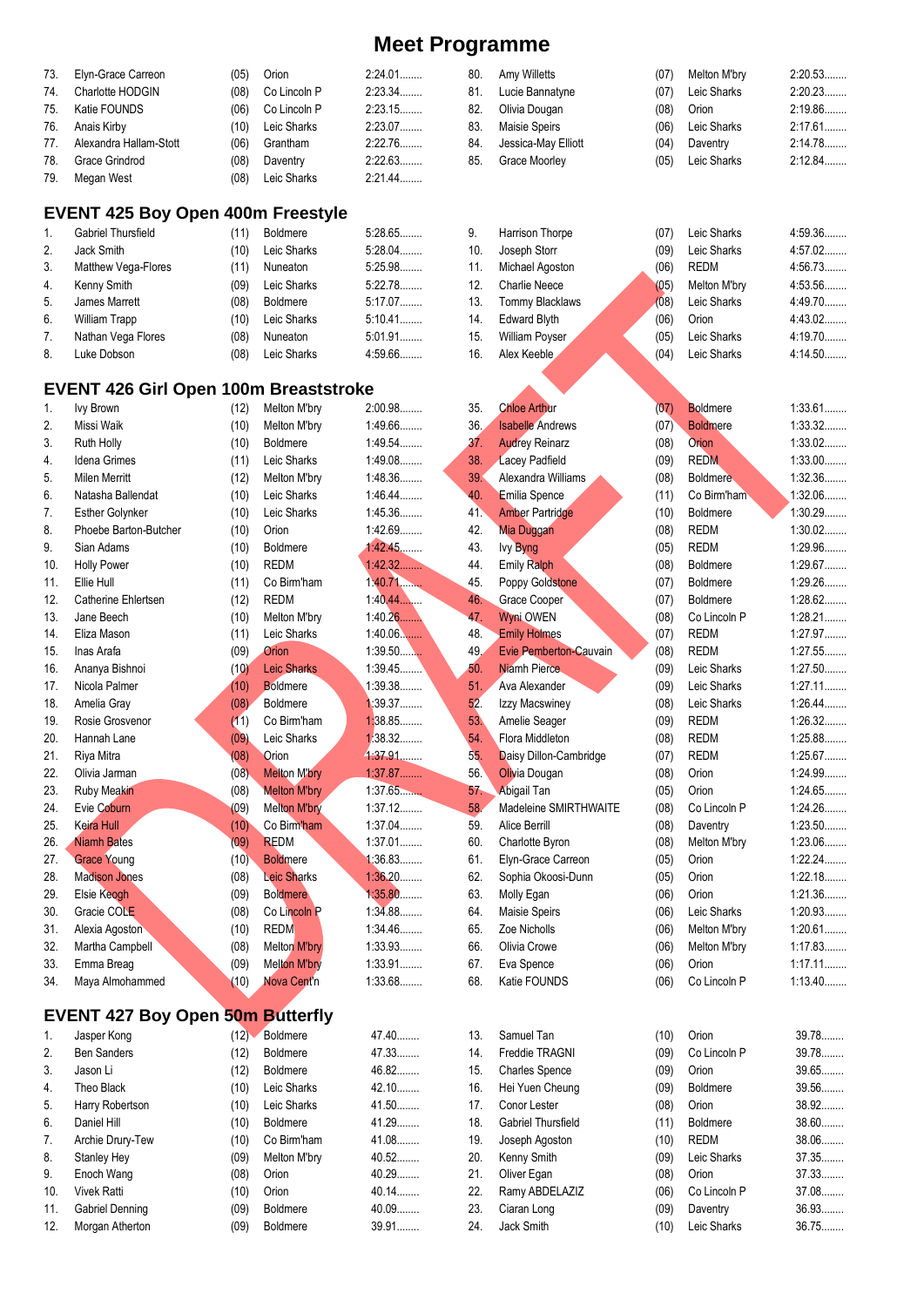| 73. Elyn-Grace Carreon     | (05) | Orion            | $2:24.01$ |
|----------------------------|------|------------------|-----------|
| 74. Charlotte HODGIN       | (08) | Co Lincoln P     | 2:23.34   |
| 75. Katie FOUNDS           | (06) | Co Lincoln P     | 2:23.15   |
| 76. Anais Kirby            | (10) | Leic Sharks      | 2:23.07   |
| 77. Alexandra Hallam-Stott | (06) | Grantham         | 2:22.76   |
| 78. Grace Grindrod         | (08) | Daventry         | 2:22.63   |
| 79. Megan West             |      | (08) Leic Sharks | $2:21.44$ |

### **EVENT 425 Boy Open 400m Freestyle**

| $\mathbf{1}$ .   | Gabriel Thursfield  | (11) | <b>Boldmere</b> | 5:28.65   |
|------------------|---------------------|------|-----------------|-----------|
| 2.               | Jack Smith          | (10) | Leic Sharks     | $5:28.04$ |
| 3.               | Matthew Vega-Flores | (11) | Nuneaton        | 5:25.98   |
| $\overline{4}$ . | Kenny Smith         | (09) | Leic Sharks     | 5:22.78   |
| 5.               | James Marrett       | (08) | <b>Boldmere</b> | 5:17.07   |
| 6.               | William Trapp       | (10) | Leic Sharks     | $5:10.41$ |
| 7.               | Nathan Vega Flores  | (08) | Nuneaton        | 5:01.91   |
| 8.               | Luke Dobson         | (08) | Leic Sharks     | 4:59.66   |

### **EVENT 426 Girl Open 100m Breaststroke**

| 1.               | <b>Ivy Brown</b>       | (12) | Melton M'bry             | 2:00.98   |
|------------------|------------------------|------|--------------------------|-----------|
| $\overline{2}$ . | Missi Waik             | (10) | Melton M'bry             | 1:49.66   |
| 3.               | Ruth Holly             | (10) | <b>Boldmere</b>          | 1:49.54   |
| 4.               | Idena Grimes           | (11) | Leic Sharks              | 1:49.08   |
| 5.               | <b>Milen Merritt</b>   | (12) | Melton M'bry             | 1:48.36   |
| 6.               | Natasha Ballendat      | (10) | Leic Sharks              | $1:46.44$ |
| 7.               | <b>Esther Golynker</b> | (10) | Leic Sharks              | 1:45.36   |
| 8.               | Phoebe Barton-Butcher  | (10) | Orion                    | 1:42.69   |
| 9.               | Sian Adams             | (10) | <b>Boldmere</b>          | 1:42.45   |
| 10.              | <b>Holly Power</b>     | (10) | <b>REDM</b>              | 1.42.32   |
| 11.              | Ellie Hull             | (11) | Co Birm'ham              | 1.40.71   |
| 12.              | Catherine Ehlertsen    | (12) | <b>REDM</b>              | 1:40.44   |
| 13.              | Jane Beech             | (10) | Melton M'bry             | 1:40.26   |
| 14.              | Eliza Mason            | (11) | Leic Sharks              | $1:40.06$ |
| 15.              | Inas Arafa             | (09) | Orion                    | $1:39.50$ |
| 16.              | Ananya Bishnoi         | (10) | <b>Leic Sharks</b>       | 1:39.45   |
| 17.              | Nicola Palmer          | (10) | <b>Boldmere</b>          | 1:39.38   |
| 18.              | Amelia Grav            | (08) | <b>Boldmere</b>          | 1:39.37   |
| 19.              | Rosie Grosvenor        | (11) | Co Birm'ham              | 1:38.85   |
| 20.              | Hannah Lane            | (09) | Leic Sharks              | 1:38.32   |
| 21.              | Riya Mitra             | (08) | Orion                    | 4:37.91   |
| 22.              | Olivia Jarman          | (08) | <b>Melton M'bry</b>      | 1:37.87   |
| 23.              | <b>Ruby Meakin</b>     | (08) | <b>Melton M'bry</b>      | 1:37.65   |
| 24.              | Evie Coburn            | (09) | <b>Melton M'bry</b>      | 1:37.12   |
| 25.              | <b>Keira Hull</b>      | (10) | Co Birm'ham              | 1:37.04   |
| 26.              | <b>Niamh Bates</b>     | (09) | <b>REDM</b>              | 1:37.01   |
| 27.              | <b>Grace Young</b>     | (10) | <b>Boldmere</b>          | 1:36.83   |
| 28.              | <b>Madison Jones</b>   | (08) | <b>Leic Sharks</b>       | 1:36.20   |
| 29.              | Elsie Keogh            | (09) | <b>Boldmere</b>          | 1:35.80   |
| 30.              | Gracie COLE            | (08) | Co Lincoln P             | 1:34.88   |
| 31.              | Alexia Agoston         | (10) | <b>REDM</b>              | 1:34.46   |
| 32.              | Martha Campbell        | (08) | Melton M'bry             | 1:33.93   |
| 33.              | Emma Breag             | (09) | <b>Melton M'bry</b>      | 1:33.91   |
| 34.              | Maya Almohammed        | (10) | Nova Cent <sup>'</sup> n | 1:33.68   |

### **EVENT 427 Boy Open 50m Butterfly**

| 1.  | Jasper Kong        | (12) | <b>Boldmere</b> | 47.40.      |
|-----|--------------------|------|-----------------|-------------|
| 2.  | <b>Ben Sanders</b> | (12) | <b>Boldmere</b> | 47.33       |
| 3.  | Jason Li           | (12) | <b>Boldmere</b> | 46.82.<br>. |
| 4.  | Theo Black         | (10) | Leic Sharks     | 42.10.<br>. |
| 5.  | Harry Robertson    | (10) | Leic Sharks     | 41.50.      |
| 6.  | Daniel Hill        | (10) | <b>Boldmere</b> | 41.29       |
| 7.  | Archie Drury-Tew   | (10) | Co Birm'ham     | 41.08       |
| 8.  | Stanley Hey        | (09) | Melton M'bry    | 40.52       |
| 9.  | Enoch Wang         | (08) | Orion           | 40.29.      |
| 10. | <b>Vivek Ratti</b> | (10) | Orion           | 40.14.      |
| 11. | Gabriel Denning    | (09) | <b>Boldmere</b> | 40.09       |
| 12. | Morgan Atherton    | (09) | <b>Boldmere</b> | 39.91       |

| 81.             | Lucie Bannatyne         | (07) | Leic Sharks                | 2:20.23   |
|-----------------|-------------------------|------|----------------------------|-----------|
| 82.             | Olivia Dougan           | (08) | Orion                      | 2:19.86   |
| 83.             | <b>Maisie Speirs</b>    | (06) | Leic Sharks                | $2:17.61$ |
| 84.             | Jessica-May Elliott     | (04) | Daventry                   | 2:14.78   |
| 85.             | Grace Moorley           | (05) | Leic Sharks                | 2:12.84   |
|                 |                         |      |                            |           |
|                 |                         |      |                            |           |
|                 |                         |      |                            |           |
|                 |                         |      |                            | 4:59.36   |
| 9.              | Harrison Thorpe         | (07) | Leic Sharks<br>Leic Sharks |           |
| 10.             | Joseph Storr            | (09) |                            | 4:57.02   |
| 11.             | Michael Agoston         | (06) | <b>REDM</b>                | 4:56.73   |
| 12.             | <b>Charlie Neece</b>    | (05) | Melton M'bry               | 4:53.56   |
| 13.             | Tommy Blacklaws         | (08) | Leic Sharks                | 4:49.70   |
| 14.             | <b>Edward Blyth</b>     | (06) | Orion                      | 4:43.02   |
| 15.             | William Poyser          | (05) | Leic Sharks                | 4:19.70   |
| 16.             | Alex Keeble             | (04) | Leic Sharks                | 4:14.50   |
|                 |                         |      |                            |           |
|                 |                         |      |                            |           |
| 35.             | <b>Chloe Arthur</b>     | (07) | <b>Boldmere</b>            | 1:33.61   |
| 36.             | <b>Isabelle</b> Andrews | (07) | <b>Boldmere</b>            | 1:33.32   |
| 37 <sub>1</sub> | <b>Audrey Reinarz</b>   | (08) | Orion                      | $1:33.02$ |
| 38.             | <b>Lacey Padfield</b>   | (09) | <b>REDM</b>                | $1:33.00$ |
| 39.             | Alexandra Williams      | (08) | <b>Boldmere</b>            | 1:32.36   |
| 40.             | Emilia Spence           | (11) | Co Birm'ham                | 1:32.06   |
| 41.             | <b>Amber Partridge</b>  | (10) | <b>Boldmere</b>            | 1:30.29   |
| 42.             | <b>Mia Duggan</b>       | (08) | <b>REDM</b>                | $1:30.02$ |
| 43.             | lvy Byng                | (05) | <b>REDM</b>                | 1:29.96   |
| 44.             | <b>Emily Ralph</b>      | (08) | <b>Boldmere</b>            | 1:29.67   |
|                 |                         |      |                            |           |
| 45.             | Poppy Goldstone         | (07) | <b>Boldmere</b>            | 1:29.26   |
| 46.             | Grace Cooper            | (07) | <b>Boldmere</b>            | 1:28.62   |
| 47.             | Wyni OWEN               | (08) | Co Lincoln P               | 1:28.21   |
| 48.             | <b>Emily Holmes</b>     | (07) | <b>REDM</b>                | 1:27.97   |
| 49.             | Evie Pemberton-Cauvain  | (08) | <b>REDM</b>                | 1:27.55   |
| 50.             | Niamh Pierce.           | (09) | Leic Sharks                | 1:27.50   |
| 51.             | Ava Alexander           | (09) | Leic Sharks                | $1:27.11$ |
| 52.             | Izzy Macswiney          | (08) | Leic Sharks                | $1:26.44$ |
| 53.             | Amelie Seager           | (09) | <b>REDM</b>                | 1:26.32   |
| 54.             | Flora Middleton         | (08) | <b>REDM</b>                | 1:25.88   |
| 55.             | Daisy Dillon-Cambridge  | (07) | <b>REDM</b>                | 1:25.67   |
| 56.             | Olivia Dougan           | (08) | Orion                      | 1:24.99   |
| 57.             | <b>Abigail Tan</b>      | (05) | Orion                      | 1:24.65   |
| 58.             | Madeleine SMIRTHWAITE   | (08) | Co Lincoln P               | 1:24.26   |
| 59.             | <b>Alice Berrill</b>    | (08) | Daventry                   | 1:23.50   |
| 60.             | Charlotte Byron         | (08) | Melton M'bry               | 1:23.06   |
| 61.             | Elyn-Grace Carreon      | (05) | Orion                      | 1:22.24   |
| 62.             | Sophia Okoosi-Dunn      | (05) | Orion                      | 1:22.18   |
| 63.             | Molly Egan              |      | Orion                      | 1:21.36   |
|                 |                         | (06) |                            | 1:20.93   |
| 64.             | Maisie Speirs           | (06) | Leic Sharks                |           |
| 65.             | Zoe Nicholls            | (06) | Melton M'bry               | 1:20.61   |
| 66.             | Olivia Crowe            | (06) | Melton M'bry               | 1:17.83   |
| 67.             | Eva Spence              | (06) | Orion                      | $1:17.11$ |
| 68.             | Katie FOUNDS            | (06) | Co Lincoln P               | 1:13.40   |
|                 |                         |      |                            |           |
|                 |                         |      |                            |           |
| 13.             | Samuel Tan              | (10) | Orion                      | 39.78     |
| 14.             | Freddie TRAGNI          | (09) | Co Lincoln P               | 39.78     |
| 15.             | <b>Charles Spence</b>   | (09) | Orion                      | 39.65     |
| 16.             | Hei Yuen Cheung         | (09) | Boldmere                   | 39.56     |
| 17.             | Conor Lester            | (08) | Orion                      | 38.92     |
| 18.             | Gabriel Thursfield      | (11) | Boldmere                   | 38.60     |
| 19.             | Joseph Agoston          | (10) | <b>REDM</b>                | 38.06     |
| 20.             | Kenny Smith             | (09) | Leic Sharks                | 37.35     |
| 21.             | Oliver Egan             | (08) | Orion                      | 37.33     |
| 22.             | Ramy ABDELAZIZ          | (06) | Co Lincoln P               | 37.08     |
| 23.             | Ciaran Long             | (09) | Daventry                   | 36.93     |
| 24.             | Jack Smith              | (10) | Leic Sharks                | 36.75     |
|                 |                         |      |                            |           |

80. Amy Willetts (07) Melton M'bry 2:20.53........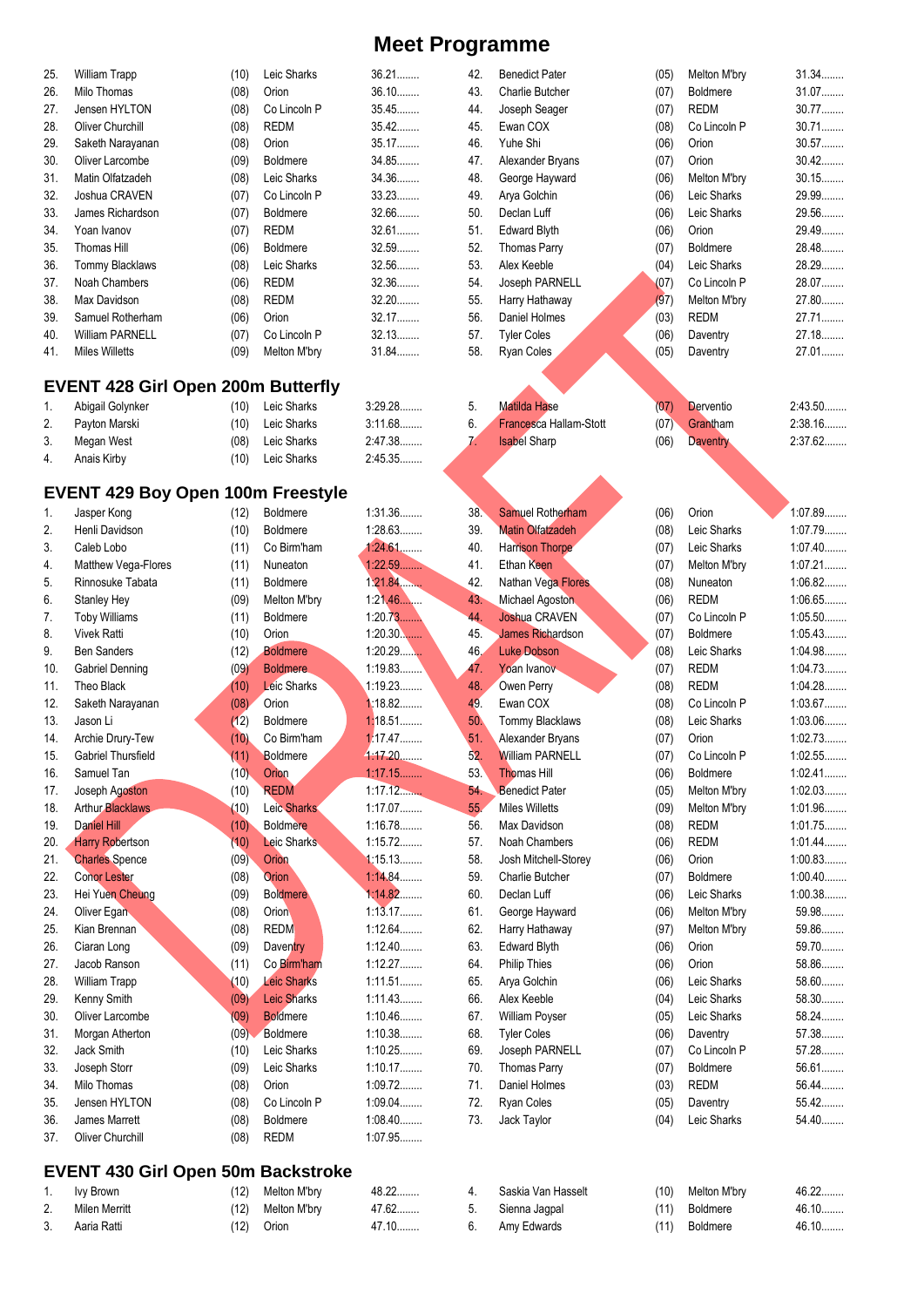| 25.                                       | William Trapp                             | (10) | Leic Sharks        | 36.21     | 42.           | <b>Benedict Pater</b>   | (05) | Melton M'bry    | 31.34     |  |  |  |
|-------------------------------------------|-------------------------------------------|------|--------------------|-----------|---------------|-------------------------|------|-----------------|-----------|--|--|--|
| 26.                                       | Milo Thomas                               | (08) | Orion              | $36.10$   | 43.           | Charlie Butcher         | (07) | <b>Boldmere</b> | 31.07     |  |  |  |
| 27.                                       | Jensen HYLTON                             | (08) | Co Lincoln P       | 35.45     | 44.           | Joseph Seager           | (07) | <b>REDM</b>     | $30.77$   |  |  |  |
| 28.                                       | <b>Oliver Churchill</b>                   | (08) | <b>REDM</b>        | 35.42     | 45.           | Ewan COX                | (08) | Co Lincoln P    | $30.71$   |  |  |  |
| 29.                                       | Saketh Narayanan                          | (08) | Orion              | 35.17     | 46.           | Yuhe Shi                | (06) | Orion           | 30.57     |  |  |  |
| 30.                                       | Oliver Larcombe                           | (09) | Boldmere           | 34.85     | 47.           | Alexander Bryans        | (07) | Orion           | $30.42$   |  |  |  |
| 31.                                       | Matin Olfatzadeh                          | (08) | Leic Sharks        | 34.36     | 48.           | George Hayward          | (06) | Melton M'bry    | 30.15     |  |  |  |
| 32.                                       | Joshua CRAVEN                             | (07) | Co Lincoln P       | 33.23     | 49.           | Arya Golchin            | (06) | Leic Sharks     | 29.99     |  |  |  |
| 33.                                       | James Richardson                          | (07) | <b>Boldmere</b>    | 32.66     | 50.           | Declan Luff             | (06) | Leic Sharks     | 29.56     |  |  |  |
| 34.                                       | Yoan Ivanov                               | (07) | <b>REDM</b>        | 32.61     | 51.           | <b>Edward Blyth</b>     | (06) | Orion           | 29.49     |  |  |  |
| 35.                                       | Thomas Hill                               | (06) | Boldmere           | 32.59     | 52.           | Thomas Parry            | (07) | <b>Boldmere</b> | 28.48     |  |  |  |
| 36.                                       | Tommy Blacklaws                           | (08) | Leic Sharks        | 32.56     | 53.           | Alex Keeble             | (04) | Leic Sharks     | 28.29     |  |  |  |
| 37.                                       | Noah Chambers                             | (06) | <b>REDM</b>        | 32.36     | 54.           | Joseph PARNELL          | (07) | Co Lincoln P    | 28.07     |  |  |  |
| 38.                                       | Max Davidson                              | (08) | <b>REDM</b>        | $32.20$   | 55.           |                         | (97) | Melton M'bry    | 27.80     |  |  |  |
|                                           |                                           |      |                    |           |               | Harry Hathaway          |      |                 | 27.71     |  |  |  |
| 39.                                       | Samuel Rotherham                          | (06) | Orion              | 32.17     | 56.           | Daniel Holmes           | (03) | <b>REDM</b>     |           |  |  |  |
| 40.                                       | <b>William PARNELL</b>                    | (07) | Co Lincoln P       | 32.13     | 57.           | <b>Tyler Coles</b>      | (06) | Daventry        | 27.18     |  |  |  |
| 41.                                       | <b>Miles Willetts</b>                     | (09) | Melton M'bry       | 31.84     | 58.           | Ryan Coles              | (05) | Daventry        | 27.01     |  |  |  |
| <b>EVENT 428 Girl Open 200m Butterfly</b> |                                           |      |                    |           |               |                         |      |                 |           |  |  |  |
|                                           |                                           |      |                    |           |               |                         |      |                 |           |  |  |  |
| 1.                                        | Abigail Golynker                          | (10) | Leic Sharks        | 3:29.28   | 5.            | <b>Matilda Hase</b>     | (07) | Derventio       | 2:43.50   |  |  |  |
| 2.                                        | Payton Marski                             | (10) | Leic Sharks        | 3:11.68   | 6.            | Francesca Hallam-Stott  | (07) | Grantham        | 2:38.16   |  |  |  |
| 3.                                        | Megan West                                | (08) | Leic Sharks        | 2:47.38   | $\mathcal{I}$ | <b>Isabel Sharp</b>     | (06) | <b>Daventry</b> | 2:37.62   |  |  |  |
| 4.                                        | Anais Kirby                               | (10) | Leic Sharks        | 2:45.35   |               |                         |      |                 |           |  |  |  |
|                                           |                                           |      |                    |           |               |                         |      |                 |           |  |  |  |
|                                           | <b>EVENT 429 Boy Open 100m Freestyle</b>  |      |                    |           |               |                         |      |                 |           |  |  |  |
| 1.                                        | Jasper Kong                               | (12) | <b>Boldmere</b>    | 1:31.36   | 38.           | Samuel Rotherham        | (06) | Orion           | 1:07.89   |  |  |  |
| 2.                                        | Henli Davidson                            | (10) | <b>Boldmere</b>    | 1:28.63   | 39.           | <b>Matin Olfatzadeh</b> | (08) | Leic Sharks     | 1:07.79   |  |  |  |
| 3.                                        | Caleb Lobo                                | (11) | Co Birm'ham        | $1.24.61$ | 40.           | <b>Harrison Thorpe</b>  | (07) | Leic Sharks     | $1:07.40$ |  |  |  |
| 4.                                        | Matthew Vega-Flores                       | (11) | Nuneaton           | 1.22.59   | 41.           | Ethan Keen              | (07) | Melton M'bry    | 1:07.21   |  |  |  |
| 5.                                        | Rinnosuke Tabata                          | (11) | <b>Boldmere</b>    | 1.21.84   | 42.           | Nathan Vega Flores      | (08) | Nuneaton        | 1:06.82   |  |  |  |
| 6.                                        | Stanley Hey                               | (09) | Melton M'bry       | 1:21.46   | 43.           | Michael Agoston         | (06) | <b>REDM</b>     | 1:06.65   |  |  |  |
| 7.                                        | <b>Toby Williams</b>                      | (11) | Boldmere           | 1:20.73   | 44.           | Joshua CRAVEN           | (07) | Co Lincoln P    | 1:05.50   |  |  |  |
| 8.                                        | <b>Vivek Ratti</b>                        | (10) | Orion              | $1:20.30$ | 45.           | James Richardson        | (07) | <b>Boldmere</b> | 1:05.43   |  |  |  |
| 9.                                        | <b>Ben Sanders</b>                        | (12) | <b>Boldmere</b>    | 1:20.29   | 46.           | <b>Luke Dobson</b>      | (08) | Leic Sharks     | 1:04.98   |  |  |  |
| 10.                                       | <b>Gabriel Denning</b>                    | (09) | <b>Boldmere</b>    | 1:19.83   | 47.           | Yoan Ivanov             | (07) | <b>REDM</b>     | 1:04.73   |  |  |  |
| 11.                                       | Theo Black                                | (10) | Leic Sharks        | 1:19.23   | 48.           | Owen Perry              | (08) | <b>REDM</b>     | 1:04.28   |  |  |  |
|                                           |                                           |      | Orion              | 1:18.82   | 49.           | Ewan COX                |      | Co Lincoln P    | 1:03.67   |  |  |  |
| 12.                                       | Saketh Narayanan                          | (08) |                    | 1:18.51   |               |                         | (08) |                 | 1:03.06   |  |  |  |
| 13.                                       | Jason Li                                  | (12) | <b>Boldmere</b>    | 1:17.47   | 50.           | Tommy Blacklaws         | (08) | Leic Sharks     | 1:02.73   |  |  |  |
| 14.                                       | Archie Drury-Tew                          | (10) | Co Birm'ham        |           | 51.           | Alexander Bryans        | (07) | Orion           |           |  |  |  |
| 15.                                       | <b>Gabriel Thursfield</b>                 | (11) | Boldmere           | 4.17.20   | 52.           | <b>William PARNELL</b>  | (07) | Co Lincoln P    | 1:02.55   |  |  |  |
| 16.                                       | Samuel Tan                                | (10) | Orion              | $1.17.15$ | 53.           | <b>Thomas Hill</b>      | (06) | <b>Boldmere</b> | 1:02.41   |  |  |  |
| 17.                                       | Joseph Agoston                            | (10) | <b>REDM</b>        | 1:17.12   | 54.           | <b>Benedict Pater</b>   | (05) | Melton M'bry    | 1:02.03   |  |  |  |
| 18.                                       | <b>Arthur Blacklaws</b>                   | (10) | Leic Sharks        | 1:17.07   | 55.           | <b>Miles Willetts</b>   | (09) | Melton M'bry    | 1:01.96   |  |  |  |
| 19.                                       | Daniel Hill                               | (10) | <b>Boldmere</b>    | 1:16.78   | 56.           | Max Davidson            | (08) | <b>REDM</b>     | 1:01.75   |  |  |  |
| 20.                                       | <b>Harry Robertson</b>                    | (10) | Leic Sharks        | 1:15.72   | 57.           | Noah Chambers           | (06) | <b>REDM</b>     | 1.01.44   |  |  |  |
| 21.                                       | <b>Charles Spence</b>                     | (09) | Orion              | 1:15.13   | 58.           | Josh Mitchell-Storey    | (06) | Orion           | 1:00.83   |  |  |  |
| 22.                                       | <b>Conor Lester</b>                       | (08) | Orion              | 1:14.84   | 59.           | Charlie Butcher         | (07) | <b>Boldmere</b> | $1:00.40$ |  |  |  |
| 23.                                       | Hei Yuen Cheung                           | (09) | <b>Boldmere</b>    | 1:14.82   | 60.           | Declan Luff             | (06) | Leic Sharks     | 1:00.38   |  |  |  |
| 24.                                       | Oliver Egan                               | (08) | Orion              | 1:13.17   | 61.           | George Hayward          | (06) | Melton M'bry    | 59.98     |  |  |  |
| 25.                                       | Kian Brennan                              | (08) | <b>REDM</b>        | 1:12.64   | 62.           | Harry Hathaway          | (97) | Melton M'bry    | 59.86     |  |  |  |
| 26.                                       | Ciaran Long                               | (09) | Daventry           | 1:12.40   | 63.           | <b>Edward Blyth</b>     | (06) | Orion           | 59.70     |  |  |  |
| 27.                                       | Jacob Ranson                              | (11) | Co Birm'ham        | 1:12.27   | 64.           | <b>Philip Thies</b>     | (06) | Orion           | 58.86     |  |  |  |
| 28.                                       | William Trapp                             | (10) | <b>Leic Sharks</b> | 1:11.51   | 65.           | Arya Golchin            | (06) | Leic Sharks     | 58.60     |  |  |  |
| 29.                                       | Kenny Smith                               | (09) | <b>Leic Sharks</b> | 1:11.43   | 66.           | Alex Keeble             | (04) | Leic Sharks     | 58.30     |  |  |  |
| 30.                                       | Oliver Larcombe                           | (09) | <b>Boldmere</b>    | 1:10.46   | 67.           | William Poyser          | (05) | Leic Sharks     | 58.24     |  |  |  |
| 31.                                       | Morgan Atherton                           | (09) | Boldmere           | 1:10.38   | 68.           | <b>Tyler Coles</b>      | (06) | Daventry        | 57.38     |  |  |  |
| 32.                                       | Jack Smith                                | (10) | Leic Sharks        | 1:10.25   | 69.           | Joseph PARNELL          | (07) | Co Lincoln P    | 57.28     |  |  |  |
| 33.                                       | Joseph Storr                              | (09) | Leic Sharks        | 1:10.17   | 70.           | <b>Thomas Parry</b>     | (07) | <b>Boldmere</b> | 56.61     |  |  |  |
|                                           | Milo Thomas                               |      | Orion              | 1:09.72   | 71.           | Daniel Holmes           |      | <b>REDM</b>     | 56.44     |  |  |  |
| 34.                                       |                                           | (08) |                    |           |               |                         | (03) |                 |           |  |  |  |
| 35.                                       | Jensen HYLTON                             | (08) | Co Lincoln P       | $1:09.04$ | 72.           | Ryan Coles              | (05) | Daventry        | 55.42     |  |  |  |
| 36.                                       | James Marrett                             | (08) | Boldmere           | 1:08.40   | 73.           | Jack Taylor             | (04) | Leic Sharks     | 54.40     |  |  |  |
| 37.                                       | Oliver Churchill                          | (08) | <b>REDM</b>        | 1:07.95   |               |                         |      |                 |           |  |  |  |
|                                           |                                           |      |                    |           |               |                         |      |                 |           |  |  |  |
|                                           | <b>EVENT 430 Girl Open 50m Backstroke</b> |      |                    |           |               |                         |      |                 |           |  |  |  |
| 1.                                        | lvy Brown                                 | (12) | Melton M'bry       | 48.22     | 4.            | Saskia Van Hasselt      | (10) | Melton M'bry    | 46.22     |  |  |  |
| 2.                                        | Milen Merritt                             | (12) | Melton M'bry       | 47.62     | 5.            | Sienna Jagpal           | (11) | <b>Boldmere</b> | 46.10     |  |  |  |

|    | Ivy Brown     | (12) | Melton M'brv | $48.22$ | Saskia Van Hasselt | (10) | Melton M'bry |
|----|---------------|------|--------------|---------|--------------------|------|--------------|
|    | Milen Merritt | '12) | Melton M'brv | $47.62$ | Sienna Jaqpal      | (11) | Boldmere     |
| 3. | Aaria Ratti   | (12) | Orion        | 47.10   | Amv Edwards        | (11) | Boldmere     |

46.10........